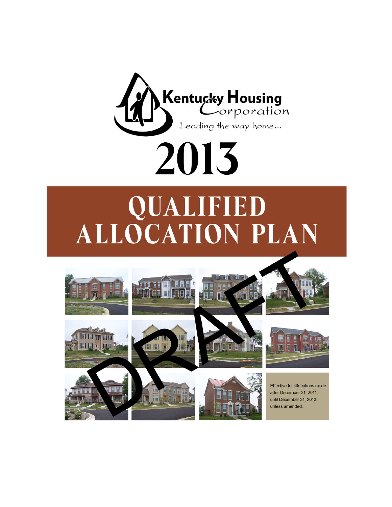

# **QUALIFIED<br>ALLOCATION PLAN**

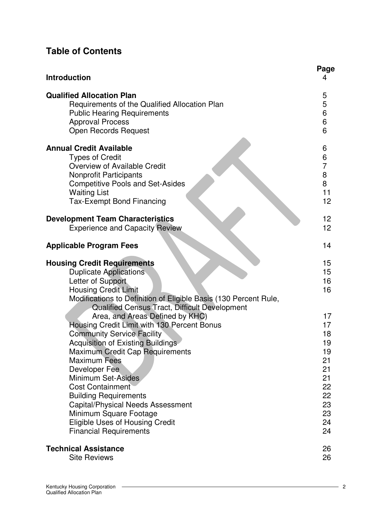# **Table of Contents**

| <b>Introduction</b>                                                                                                                                                                                                                                                                                                                                                                                                                                                                                      | Page<br>4                                                                        |
|----------------------------------------------------------------------------------------------------------------------------------------------------------------------------------------------------------------------------------------------------------------------------------------------------------------------------------------------------------------------------------------------------------------------------------------------------------------------------------------------------------|----------------------------------------------------------------------------------|
| <b>Qualified Allocation Plan</b><br>Requirements of the Qualified Allocation Plan<br><b>Public Hearing Requirements</b><br><b>Approval Process</b><br><b>Open Records Request</b>                                                                                                                                                                                                                                                                                                                        | 5<br>5<br>6<br>6<br>6                                                            |
| <b>Annual Credit Available</b><br><b>Types of Credit</b><br>Overview of Available Credit<br><b>Nonprofit Participants</b><br><b>Competitive Pools and Set-Asides</b><br><b>Waiting List</b><br><b>Tax-Exempt Bond Financing</b>                                                                                                                                                                                                                                                                          | 6<br>$\frac{6}{7}$<br>8<br>8<br>11<br>12                                         |
| <b>Development Team Characteristics</b><br><b>Experience and Capacity Review</b>                                                                                                                                                                                                                                                                                                                                                                                                                         | 12 <sub>2</sub><br>12 <sub>2</sub>                                               |
| <b>Applicable Program Fees</b>                                                                                                                                                                                                                                                                                                                                                                                                                                                                           | 14                                                                               |
| <b>Housing Credit Requirements</b><br><b>Duplicate Applications</b><br>Letter of Support<br><b>Housing Credit Limit</b><br>Modifications to Definition of Eligible Basis (130 Percent Rule,                                                                                                                                                                                                                                                                                                              | 15<br>15<br>16<br>16                                                             |
| Qualified Census Tract, Difficult Development<br>Area, and Areas Defined by KHC)<br>Housing Credit Limit with 130 Percent Bonus<br><b>Community Service Facility</b><br>Acquisition of Existing Buildings<br>Maximum Credit Cap Requirements<br><b>Maximum Fees</b><br>Developer Fee<br>Minimum Set-Asides<br><b>Cost Containment</b><br><b>Building Requirements</b><br>Capital/Physical Needs Assessment<br>Minimum Square Footage<br>Eligible Uses of Housing Credit<br><b>Financial Requirements</b> | 17<br>17<br>18<br>19<br>19<br>21<br>21<br>21<br>22<br>22<br>23<br>23<br>24<br>24 |
| <b>Technical Assistance</b><br><b>Site Reviews</b>                                                                                                                                                                                                                                                                                                                                                                                                                                                       | 26<br>26                                                                         |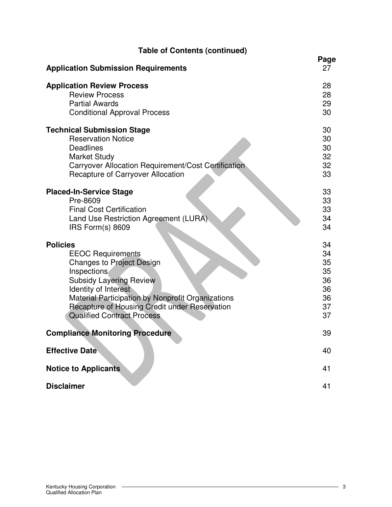| <b>Table of Contents (continued)</b>                |            |
|-----------------------------------------------------|------------|
| <b>Application Submission Requirements</b>          | Page<br>27 |
| <b>Application Review Process</b>                   | 28         |
| <b>Review Process</b>                               | 28         |
| <b>Partial Awards</b>                               | 29         |
| <b>Conditional Approval Process</b>                 | 30         |
| <b>Technical Submission Stage</b>                   | 30         |
| <b>Reservation Notice</b>                           | 30         |
| <b>Deadlines</b>                                    | 30         |
| <b>Market Study</b>                                 | 32         |
| Carryover Allocation Requirement/Cost Certification | 32         |
| <b>Recapture of Carryover Allocation</b>            | 33         |
| <b>Placed-In-Service Stage</b>                      | 33         |
| Pre-8609                                            | 33         |
| <b>Final Cost Certification</b>                     | 33         |
| Land Use Restriction Agreement (LURA).              | 34         |
| IRS Form(s) 8609                                    | 34         |
| <b>Policies</b>                                     | 34         |
| <b>EEOC Requirements</b>                            | 34         |
| <b>Changes to Project Design</b>                    | 35         |
| Inspections                                         | 35         |
| <b>Subsidy Layering Review</b>                      | 36         |
| Identity of Interest                                | 36         |
| Material Participation by Nonprofit Organizations   | 36         |
| Recapture of Housing Credit under Reservation       | 37         |
| <b>Qualified Contract Process</b>                   | 37         |
| <b>Compliance Monitoring Procedure</b>              | 39         |
| <b>Effective Date</b>                               | 40         |
| <b>Notice to Applicants</b>                         | 41         |
|                                                     |            |
| <b>Disclaimer</b>                                   | 41         |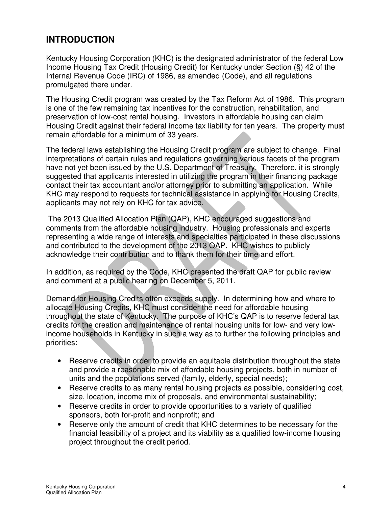# **INTRODUCTION**

Kentucky Housing Corporation (KHC) is the designated administrator of the federal Low Income Housing Tax Credit (Housing Credit) for Kentucky under Section (§) 42 of the Internal Revenue Code (IRC) of 1986, as amended (Code), and all regulations promulgated there under.

The Housing Credit program was created by the Tax Reform Act of 1986. This program is one of the few remaining tax incentives for the construction, rehabilitation, and preservation of low-cost rental housing. Investors in affordable housing can claim Housing Credit against their federal income tax liability for ten years. The property must remain affordable for a minimum of 33 years.

The federal laws establishing the Housing Credit program are subject to change. Final interpretations of certain rules and regulations governing various facets of the program have not yet been issued by the U.S. Department of Treasury. Therefore, it is strongly suggested that applicants interested in utilizing the program in their financing package contact their tax accountant and/or attorney prior to submitting an application. While KHC may respond to requests for technical assistance in applying for Housing Credits, applicants may not rely on KHC for tax advice.

 The 2013 Qualified Allocation Plan (QAP), KHC encouraged suggestions and comments from the affordable housing industry. Housing professionals and experts representing a wide range of interests and specialties participated in these discussions and contributed to the development of the 2013 QAP. KHC wishes to publicly acknowledge their contribution and to thank them for their time and effort.

In addition, as required by the Code, KHC presented the draft QAP for public review and comment at a public hearing on December 5, 2011.

Demand for Housing Credits often exceeds supply. In determining how and where to allocate Housing Credits, KHC must consider the need for affordable housing throughout the state of Kentucky. The purpose of KHC's QAP is to reserve federal tax credits for the creation and maintenance of rental housing units for low- and very lowincome households in Kentucky in such a way as to further the following principles and priorities:

- Reserve credits in order to provide an equitable distribution throughout the state and provide a reasonable mix of affordable housing projects, both in number of units and the populations served (family, elderly, special needs);
- Reserve credits to as many rental housing projects as possible, considering cost, size, location, income mix of proposals, and environmental sustainability;
- Reserve credits in order to provide opportunities to a variety of qualified sponsors, both for-profit and nonprofit; and
- Reserve only the amount of credit that KHC determines to be necessary for the financial feasibility of a project and its viability as a qualified low-income housing project throughout the credit period.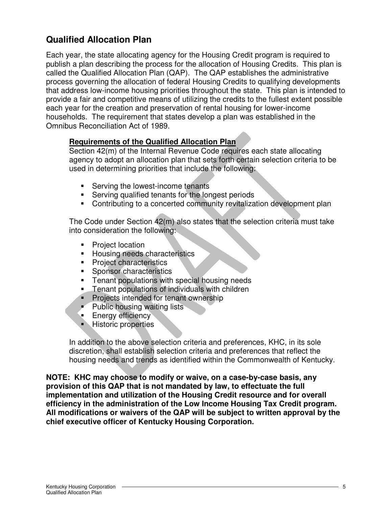# **Qualified Allocation Plan**

Each year, the state allocating agency for the Housing Credit program is required to publish a plan describing the process for the allocation of Housing Credits. This plan is called the Qualified Allocation Plan (QAP). The QAP establishes the administrative process governing the allocation of federal Housing Credits to qualifying developments that address low-income housing priorities throughout the state. This plan is intended to provide a fair and competitive means of utilizing the credits to the fullest extent possible each year for the creation and preservation of rental housing for lower-income households. The requirement that states develop a plan was established in the Omnibus Reconciliation Act of 1989.

#### **Requirements of the Qualified Allocation Plan**

Section 42(m) of the Internal Revenue Code requires each state allocating agency to adopt an allocation plan that sets forth certain selection criteria to be used in determining priorities that include the following:

- **Serving the lowest-income tenants**
- **Serving qualified tenants for the longest periods**
- **Contributing to a concerted community revitalization development plan**

The Code under Section 42(m) also states that the selection criteria must take into consideration the following:

- Project location
- **Housing needs characteristics**
- **Project characteristics**
- **Sponsor characteristics**
- **Tenant populations with special housing needs**
- Tenant populations of individuals with children
- **Projects intended for tenant ownership**
- **Public housing waiting lists**
- **Energy efficiency**
- **Historic properties**

In addition to the above selection criteria and preferences, KHC, in its sole discretion, shall establish selection criteria and preferences that reflect the housing needs and trends as identified within the Commonwealth of Kentucky.

**NOTE: KHC may choose to modify or waive, on a case-by-case basis, any provision of this QAP that is not mandated by law, to effectuate the full implementation and utilization of the Housing Credit resource and for overall efficiency in the administration of the Low Income Housing Tax Credit program. All modifications or waivers of the QAP will be subject to written approval by the chief executive officer of Kentucky Housing Corporation.**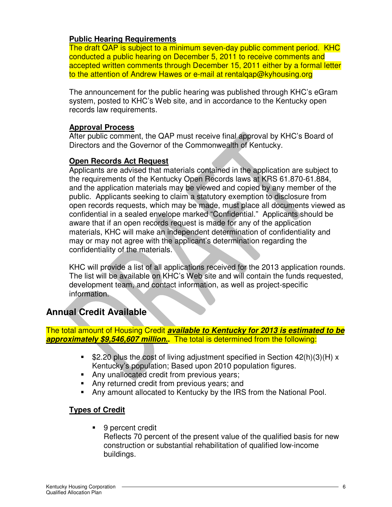#### **Public Hearing Requirements**

The draft QAP is subject to a minimum seven-day public comment period. KHC conducted a public hearing on December 5, 2011 to receive comments and accepted written comments through December 15, 2011 either by a formal letter to the attention of Andrew Hawes or e-mail at rentalqap@kyhousing.org

The announcement for the public hearing was published through KHC's eGram system, posted to KHC's Web site, and in accordance to the Kentucky open records law requirements.

#### **Approval Process**

After public comment, the QAP must receive final approval by KHC's Board of Directors and the Governor of the Commonwealth of Kentucky.

#### **Open Records Act Request**

Applicants are advised that materials contained in the application are subject to the requirements of the Kentucky Open Records laws at KRS 61.870-61.884, and the application materials may be viewed and copied by any member of the public. Applicants seeking to claim a statutory exemption to disclosure from open records requests, which may be made, must place all documents viewed as confidential in a sealed envelope marked "Confidential." Applicants should be aware that if an open records request is made for any of the application materials, KHC will make an independent determination of confidentiality and may or may not agree with the applicant's determination regarding the confidentiality of the materials.

KHC will provide a list of all applications received for the 2013 application rounds. The list will be available on KHC's Web site and will contain the funds requested, development team, and contact information, as well as project-specific information.

# **Annual Credit Available**

The total amount of Housing Credit **available to Kentucky for 2013 is estimated to be approximately \$9,546,607 million..** The total is determined from the following:

- **52.20 plus the cost of living adjustment specified in Section 42(h)(3)(H) x** Kentucky's population; Based upon 2010 population figures.
- Any unallocated credit from previous years;
- Any returned credit from previous years; and
- Any amount allocated to Kentucky by the IRS from the National Pool.

#### **Types of Credit**

■ 9 percent credit

Reflects 70 percent of the present value of the qualified basis for new construction or substantial rehabilitation of qualified low-income buildings.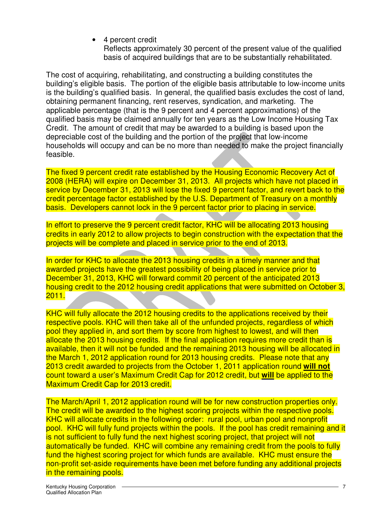4 percent credit

Reflects approximately 30 percent of the present value of the qualified basis of acquired buildings that are to be substantially rehabilitated.

The cost of acquiring, rehabilitating, and constructing a building constitutes the building's eligible basis. The portion of the eligible basis attributable to low-income units is the building's qualified basis. In general, the qualified basis excludes the cost of land, obtaining permanent financing, rent reserves, syndication, and marketing. The applicable percentage (that is the 9 percent and 4 percent approximations) of the qualified basis may be claimed annually for ten years as the Low Income Housing Tax Credit. The amount of credit that may be awarded to a building is based upon the depreciable cost of the building and the portion of the project that low-income households will occupy and can be no more than needed to make the project financially feasible.

The fixed 9 percent credit rate established by the Housing Economic Recovery Act of 2008 (HERA) will expire on December 31, 2013. All projects which have not placed in service by December 31, 2013 will lose the fixed 9 percent factor, and revert back to the credit percentage factor established by the U.S. Department of Treasury on a monthly basis. Developers cannot lock in the 9 percent factor prior to placing in service.

In effort to preserve the 9 percent credit factor, KHC will be allocating 2013 housing credits in early 2012 to allow projects to begin construction with the expectation that the projects will be complete and placed in service prior to the end of 2013.

In order for KHC to allocate the 2013 housing credits in a timely manner and that awarded projects have the greatest possibility of being placed in service prior to December 31, 2013, KHC will forward commit 20 percent of the anticipated 2013 housing credit to the 2012 housing credit applications that were submitted on October 3, 2011.

KHC will fully allocate the 2012 housing credits to the applications received by their respective pools. KHC will then take all of the unfunded projects, regardless of which pool they applied in, and sort them by score from highest to lowest, and will then allocate the 2013 housing credits. If the final application requires more credit than is available, then it will not be funded and the remaining 2013 housing will be allocated in the March 1, 2012 application round for 2013 housing credits. Please note that any 2013 credit awarded to projects from the October 1, 2011 application round **will not** count toward a user's Maximum Credit Cap for 2012 credit, but **will** be applied to the Maximum Credit Cap for 2013 credit.

The March/April 1, 2012 application round will be for new construction properties only. The credit will be awarded to the highest scoring projects within the respective pools. KHC will allocate credits in the following order: rural pool, urban pool and nonprofit pool. KHC will fully fund projects within the pools. If the pool has credit remaining and it is not sufficient to fully fund the next highest scoring project, that project will not automatically be funded. KHC will combine any remaining credit from the pools to fully fund the highest scoring project for which funds are available. KHC must ensure the non-profit set-aside requirements have been met before funding any additional projects in the remaining pools.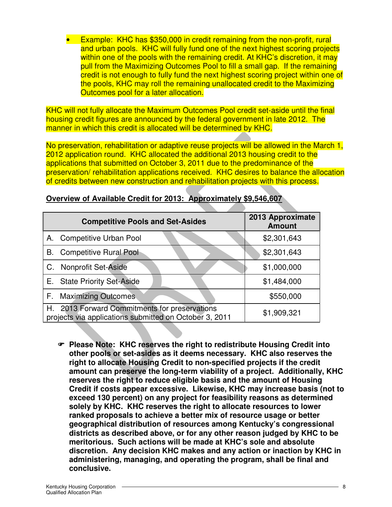• Example: KHC has \$350,000 in credit remaining from the non-profit, rural and urban pools. KHC will fully fund one of the next highest scoring projects within one of the pools with the remaining credit. At KHC's discretion, it may pull from the Maximizing Outcomes Pool to fill a small gap. If the remaining credit is not enough to fully fund the next highest scoring project within one of the pools, KHC may roll the remaining unallocated credit to the Maximizing Outcomes pool for a later allocation.

KHC will not fully allocate the Maximum Outcomes Pool credit set-aside until the final housing credit figures are announced by the federal government in late 2012. The manner in which this credit is allocated will be determined by KHC.

No preservation, rehabilitation or adaptive reuse projects will be allowed in the March 1, 2012 application round. KHC allocated the additional 2013 housing credit to the applications that submitted on October 3, 2011 due to the predominance of the preservation/ rehabilitation applications received. KHC desires to balance the allocation of credits between new construction and rehabilitation projects with this process.

|    | <b>Competitive Pools and Set-Asides</b>                                                                 | 2013 Approximate<br><b>Amount</b> |
|----|---------------------------------------------------------------------------------------------------------|-----------------------------------|
| A. | <b>Competitive Urban Pool</b>                                                                           | \$2,301,643                       |
| В. | <b>Competitive Rural Pool</b>                                                                           | \$2,301,643                       |
|    | C. Nonprofit Set-Aside                                                                                  | \$1,000,000                       |
|    | E. State Priority Set-Aside                                                                             | \$1,484,000                       |
| F. | <b>Maximizing Outcomes</b>                                                                              | \$550,000                         |
|    | H. 2013 Forward Commitments for preservations<br>projects via applications submitted on October 3, 2011 | \$1,909,321                       |

#### **Overview of Available Credit for 2013: Approximately \$9,546,607**

- **Please Note: KHC reserves the right to redistribute Housing Credit into other pools or set-asides as it deems necessary. KHC also reserves the right to allocate Housing Credit to non-specified projects if the credit amount can preserve the long-term viability of a project. Additionally, KHC reserves the right to reduce eligible basis and the amount of Housing Credit if costs appear excessive. Likewise, KHC may increase basis (not to exceed 130 percent) on any project for feasibility reasons as determined solely by KHC. KHC reserves the right to allocate resources to lower ranked proposals to achieve a better mix of resource usage or better geographical distribution of resources among Kentucky's congressional districts as described above, or for any other reason judged by KHC to be meritorious. Such actions will be made at KHC's sole and absolute discretion. Any decision KHC makes and any action or inaction by KHC in administering, managing, and operating the program, shall be final and conclusive.**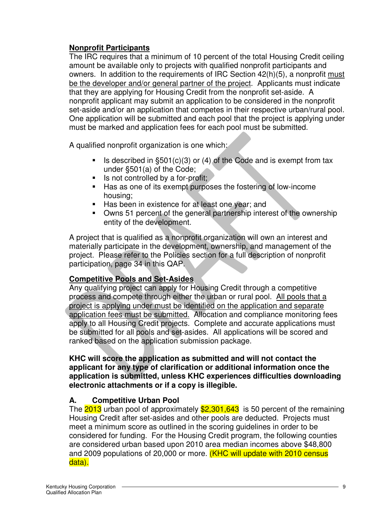### **Nonprofit Participants**

The IRC requires that a minimum of 10 percent of the total Housing Credit ceiling amount be available only to projects with qualified nonprofit participants and owners. In addition to the requirements of IRC Section 42(h)(5), a nonprofit must be the developer and/or general partner of the project. Applicants must indicate that they are applying for Housing Credit from the nonprofit set-aside. A nonprofit applicant may submit an application to be considered in the nonprofit set-aside and/or an application that competes in their respective urban/rural pool. One application will be submitted and each pool that the project is applying under must be marked and application fees for each pool must be submitted.

A qualified nonprofit organization is one which:

- Is described in  $\S501(c)(3)$  or (4) of the Code and is exempt from tax under §501(a) of the Code;
- $\blacksquare$  Is not controlled by a for-profit;
- Has as one of its exempt purposes the fostering of low-income housing;
- Has been in existence for at least one year; and
- Owns 51 percent of the general partnership interest of the ownership entity of the development.

A project that is qualified as a nonprofit organization will own an interest and materially participate in the development, ownership, and management of the project. Please refer to the Policies section for a full description of nonprofit participation, page 34 in this QAP.

# **Competitive Pools and Set-Asides**

Any qualifying project can apply for Housing Credit through a competitive process and compete through either the urban or rural pool. All pools that a project is applying under must be identified on the application and separate application fees must be submitted. Allocation and compliance monitoring fees apply to all Housing Credit projects. Complete and accurate applications must be submitted for all pools and set-asides. All applications will be scored and ranked based on the application submission package.

**KHC will score the application as submitted and will not contact the applicant for any type of clarification or additional information once the application is submitted, unless KHC experiences difficulties downloading electronic attachments or if a copy is illegible.**

# **A. Competitive Urban Pool**

The 2013 urban pool of approximately \$2,301,643 is 50 percent of the remaining Housing Credit after set-asides and other pools are deducted. Projects must meet a minimum score as outlined in the scoring guidelines in order to be considered for funding. For the Housing Credit program, the following counties are considered urban based upon 2010 area median incomes above \$48,800 and 2009 populations of 20,000 or more. (KHC will update with 2010 census data).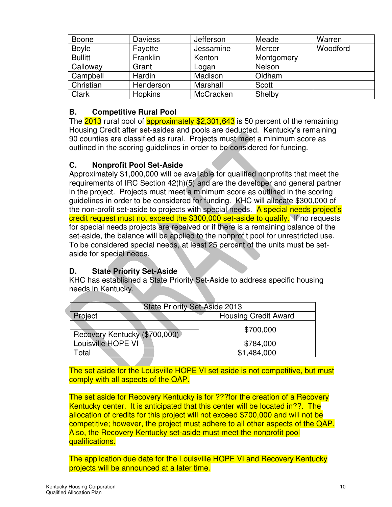| <b>Boone</b>   | <b>Daviess</b> | Jefferson | Meade      | Warren   |
|----------------|----------------|-----------|------------|----------|
| <b>Boyle</b>   | Fayette        | Jessamine | Mercer     | Woodford |
| <b>Bullitt</b> | Franklin       | Kenton    | Montgomery |          |
| Calloway       | Grant          | Logan     | Nelson     |          |
| Campbell       | Hardin         | Madison   | Oldham     |          |
| Christian      | Henderson      | Marshall  | Scott      |          |
| Clark          | <b>Hopkins</b> | McCracken | Shelby     |          |

#### **B. Competitive Rural Pool**

The 2013 rural pool of approximately \$2,301,643 is 50 percent of the remaining Housing Credit after set-asides and pools are deducted. Kentucky's remaining 90 counties are classified as rural. Projects must meet a minimum score as outlined in the scoring guidelines in order to be considered for funding.

#### **C. Nonprofit Pool Set-Aside**

Approximately \$1,000,000 will be available for qualified nonprofits that meet the requirements of IRC Section 42(h)(5) and are the developer and general partner in the project. Projects must meet a minimum score as outlined in the scoring guidelines in order to be considered for funding. KHC will allocate \$300,000 of the non-profit set-aside to projects with special needs. A special needs project's credit request must not exceed the \$300,000 set-aside to qualify. If no requests for special needs projects are received or if there is a remaining balance of the set-aside, the balance will be applied to the nonprofit pool for unrestricted use. To be considered special needs, at least 25 percent of the units must be setaside for special needs.

#### **D. State Priority Set-Aside**

**The Second Second** 

KHC has established a State Priority Set-Aside to address specific housing needs in Kentucky.

| <b>State Priority Set-Aside 2013</b>   |             |  |  |
|----------------------------------------|-------------|--|--|
| <b>Housing Credit Award</b><br>Project |             |  |  |
| Recovery Kentucky (\$700,000)          | \$700,000   |  |  |
| Louisville HOPE VI                     | \$784,000   |  |  |
| Γotal                                  | \$1,484,000 |  |  |
|                                        |             |  |  |

The set aside for the Louisville HOPE VI set aside is not competitive, but must comply with all aspects of the QAP.

The set aside for Recovery Kentucky is for ???for the creation of a Recovery Kentucky center. It is anticipated that this center will be located in??. The allocation of credits for this project will not exceed \$700,000 and will not be competitive; however, the project must adhere to all other aspects of the QAP. Also, the Recovery Kentucky set-aside must meet the nonprofit pool qualifications.

The application due date for the Louisville HOPE VI and Recovery Kentucky projects will be announced at a later time.

Ć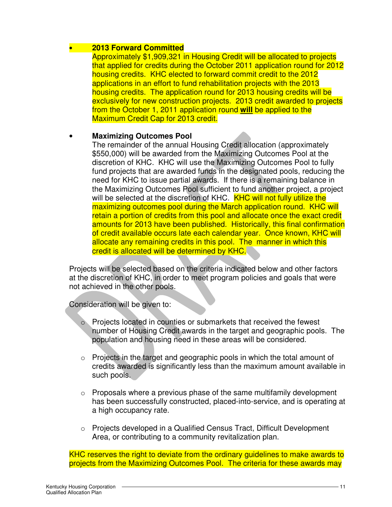#### • **2013 Forward Committed**

Approximately \$1,909,321 in Housing Credit will be allocated to projects that applied for credits during the October 2011 application round for 2012 housing credits. KHC elected to forward commit credit to the 2012 applications in an effort to fund rehabilitation projects with the 2013 housing credits. The application round for 2013 housing credits will be exclusively for new construction projects. 2013 credit awarded to projects from the October 1, 2011 application round **will** be applied to the Maximum Credit Cap for 2013 credit.

#### • **Maximizing Outcomes Pool**

The remainder of the annual Housing Credit allocation (approximately \$550,000) will be awarded from the Maximizing Outcomes Pool at the discretion of KHC. KHC will use the Maximizing Outcomes Pool to fully fund projects that are awarded funds in the designated pools, reducing the need for KHC to issue partial awards. If there is a remaining balance in the Maximizing Outcomes Pool sufficient to fund another project, a project will be selected at the discretion of KHC. KHC will not fully utilize the maximizing outcomes pool during the March application round. KHC will retain a portion of credits from this pool and allocate once the exact credit amounts for 2013 have been published. Historically, this final confirmation of credit available occurs late each calendar year. Once known, KHC will allocate any remaining credits in this pool. The manner in which this credit is allocated will be determined by KHC.

Projects will be selected based on the criteria indicated below and other factors at the discretion of KHC, in order to meet program policies and goals that were not achieved in the other pools.

Consideration will be given to:

- Projects located in counties or submarkets that received the fewest number of Housing Credit awards in the target and geographic pools. The population and housing need in these areas will be considered.
- $\circ$  Projects in the target and geographic pools in which the total amount of credits awarded is significantly less than the maximum amount available in such pools.
- $\circ$  Proposals where a previous phase of the same multifamily development has been successfully constructed, placed-into-service, and is operating at a high occupancy rate.
- $\circ$  Projects developed in a Qualified Census Tract, Difficult Development Area, or contributing to a community revitalization plan.

KHC reserves the right to deviate from the ordinary guidelines to make awards to projects from the Maximizing Outcomes Pool. The criteria for these awards may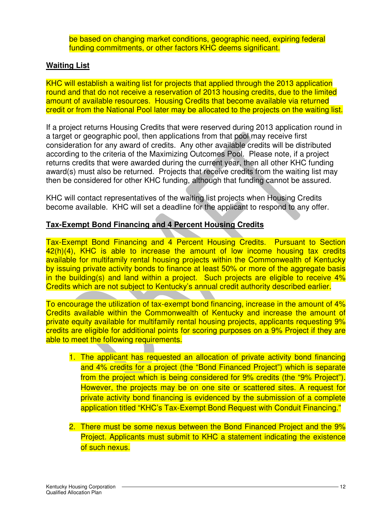be based on changing market conditions, geographic need, expiring federal funding commitments, or other factors KHC deems significant.

#### **Waiting List**

KHC will establish a waiting list for projects that applied through the 2013 application round and that do not receive a reservation of 2013 housing credits, due to the limited amount of available resources. Housing Credits that become available via returned credit or from the National Pool later may be allocated to the projects on the waiting list.

If a project returns Housing Credits that were reserved during 2013 application round in a target or geographic pool, then applications from that pool may receive first consideration for any award of credits. Any other available credits will be distributed according to the criteria of the Maximizing Outcomes Pool. Please note, if a project returns credits that were awarded during the current year, then all other KHC funding award(s) must also be returned. Projects that receive credits from the waiting list may then be considered for other KHC funding, although that funding cannot be assured.

KHC will contact representatives of the waiting list projects when Housing Credits become available. KHC will set a deadline for the applicant to respond to any offer.

#### **Tax-Exempt Bond Financing and 4 Percent Housing Credits**

Tax-Exempt Bond Financing and 4 Percent Housing Credits. Pursuant to Section 42(h)(4), KHC is able to increase the amount of low income housing tax credits available for multifamily rental housing projects within the Commonwealth of Kentucky by issuing private activity bonds to finance at least 50% or more of the aggregate basis in the building(s) and land within a project. Such projects are eligible to receive 4% Credits which are not subject to Kentucky's annual credit authority described earlier.

To encourage the utilization of tax-exempt bond financing, increase in the amount of 4% Credits available within the Commonwealth of Kentucky and increase the amount of private equity available for multifamily rental housing projects, applicants requesting 9% credits are eligible for additional points for scoring purposes on a 9% Project if they are able to meet the following requirements.

- 1. The applicant has requested an allocation of private activity bond financing and 4% credits for a project (the "Bond Financed Project") which is separate from the project which is being considered for 9% credits (the "9% Project"). However, the projects may be on one site or scattered sites. A request for private activity bond financing is evidenced by the submission of a complete application titled "KHC's Tax-Exempt Bond Request with Conduit Financing."
- 2. There must be some nexus between the Bond Financed Project and the 9% Project. Applicants must submit to KHC a statement indicating the existence of such nexus.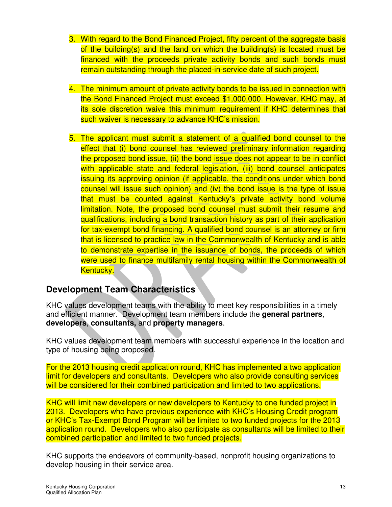- 3. With regard to the Bond Financed Project, fifty percent of the aggregate basis of the building(s) and the land on which the building(s) is located must be financed with the proceeds private activity bonds and such bonds must remain outstanding through the placed-in-service date of such project.
- 4. The minimum amount of private activity bonds to be issued in connection with the Bond Financed Project must exceed \$1,000,000. However, KHC may, at its sole discretion waive this minimum requirement if KHC determines that such waiver is necessary to advance KHC's mission.
- 5. The applicant must submit a statement of a qualified bond counsel to the effect that (i) bond counsel has reviewed preliminary information regarding the proposed bond issue, (ii) the bond issue does not appear to be in conflict with applicable state and federal legislation, (iii) bond counsel anticipates issuing its approving opinion (if applicable, the conditions under which bond counsel will issue such opinion) and (iv) the bond issue is the type of issue that must be counted against Kentucky's private activity bond volume limitation. Note, the proposed bond counsel must submit their resume and qualifications, including a bond transaction history as part of their application for tax-exempt bond financing. A qualified bond counsel is an attorney or firm that is licensed to practice law in the Commonwealth of Kentucky and is able to demonstrate expertise in the issuance of bonds, the proceeds of which were used to finance multifamily rental housing within the Commonwealth of Kentucky.

# **Development Team Characteristics**

KHC values development teams with the ability to meet key responsibilities in a timely and efficient manner. Development team members include the **general partners**, **developers**, **consultants,** and **property managers**.

KHC values development team members with successful experience in the location and type of housing being proposed.

For the 2013 housing credit application round, KHC has implemented a two application limit for developers and consultants. Developers who also provide consulting services will be considered for their combined participation and limited to two applications.

KHC will limit new developers or new developers to Kentucky to one funded project in 2013. Developers who have previous experience with KHC's Housing Credit program or KHC's Tax-Exempt Bond Program will be limited to two funded projects for the 2013 application round. Developers who also participate as consultants will be limited to their combined participation and limited to two funded projects.

KHC supports the endeavors of community-based, nonprofit housing organizations to develop housing in their service area.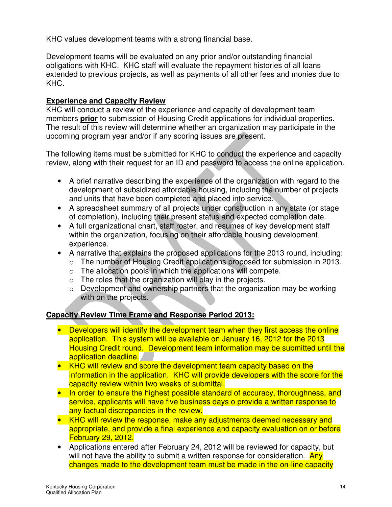KHC values development teams with a strong financial base.

Development teams will be evaluated on any prior and/or outstanding financial obligations with KHC. KHC staff will evaluate the repayment histories of all loans extended to previous projects, as well as payments of all other fees and monies due to KHC.

#### **Experience and Capacity Review**

KHC will conduct a review of the experience and capacity of development team members **prior** to submission of Housing Credit applications for individual properties. The result of this review will determine whether an organization may participate in the upcoming program year and/or if any scoring issues are present.

The following items must be submitted for KHC to conduct the experience and capacity review, along with their request for an ID and password to access the online application.

- A brief narrative describing the experience of the organization with regard to the development of subsidized affordable housing, including the number of projects and units that have been completed and placed into service.
- A spreadsheet summary of all projects under construction in any state (or stage of completion), including their present status and expected completion date.
- A full organizational chart, staff roster, and resumes of key development staff within the organization, focusing on their affordable housing development experience.
- A narrative that explains the proposed applications for the 2013 round, including:
	- o The number of Housing Credit applications proposed for submission in 2013.
	- $\circ$  The allocation pools in which the applications will compete.
	- $\circ$  The roles that the organization will play in the projects.
	- o Development and ownership partners that the organization may be working with on the projects.

# **Capacity Review Time Frame and Response Period 2013:**

- Developers will identify the development team when they first access the online application. This system will be available on January 16, 2012 for the 2013 Housing Credit round. Development team information may be submitted until the application deadline.
- KHC will review and score the development team capacity based on the information in the application. KHC will provide developers with the score for the capacity review within two weeks of submittal.
- In order to ensure the highest possible standard of accuracy, thoroughness, and service, applicants will have five business days o provide a written response to any factual discrepancies in the review.
- KHC will review the response, make any adjustments deemed necessary and appropriate, and provide a final experience and capacity evaluation on or before February 29, 2012.
- Applications entered after February 24, 2012 will be reviewed for capacity, but will not have the ability to submit a written response for consideration. Any changes made to the development team must be made in the on-line capacity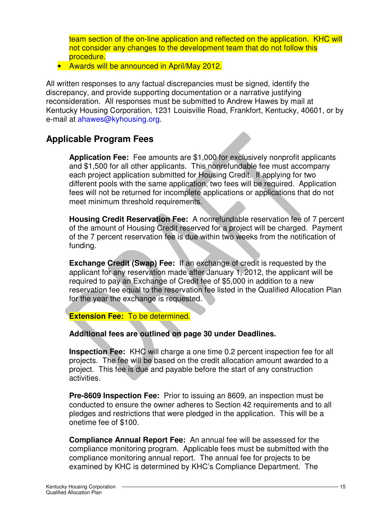team section of the on-line application and reflected on the application. KHC will not consider any changes to the development team that do not follow this procedure.

• Awards will be announced in April/May 2012.

All written responses to any factual discrepancies must be signed, identify the discrepancy, and provide supporting documentation or a narrative justifying reconsideration. All responses must be submitted to Andrew Hawes by mail at Kentucky Housing Corporation, 1231 Louisville Road, Frankfort, Kentucky, 40601, or by e-mail at ahawes@kyhousing.org.

# **Applicable Program Fees**

**Application Fee:** Fee amounts are \$1,000 for exclusively nonprofit applicants and \$1,500 for all other applicants. This nonrefundable fee must accompany each project application submitted for Housing Credit. If applying for two different pools with the same application, two fees will be required. Application fees will not be returned for incomplete applications or applications that do not meet minimum threshold requirements.

**Housing Credit Reservation Fee:** A nonrefundable reservation fee of 7 percent of the amount of Housing Credit reserved for a project will be charged. Payment of the 7 percent reservation fee is due within two weeks from the notification of funding.

**Exchange Credit (Swap) Fee:** If an exchange of credit is requested by the applicant for any reservation made after January 1, 2012, the applicant will be required to pay an Exchange of Credit fee of \$5,000 in addition to a new reservation fee equal to the reservation fee listed in the Qualified Allocation Plan for the year the exchange is requested.

#### **Extension Fee:** To be determined.

#### **Additional fees are outlined on page 30 under Deadlines.**

**Inspection Fee:** KHC will charge a one time 0.2 percent inspection fee for all projects. The fee will be based on the credit allocation amount awarded to a project. This fee is due and payable before the start of any construction activities.

**Pre-8609 Inspection Fee:** Prior to issuing an 8609, an inspection must be conducted to ensure the owner adheres to Section 42 requirements and to all pledges and restrictions that were pledged in the application. This will be a onetime fee of \$100.

**Compliance Annual Report Fee:** An annual fee will be assessed for the compliance monitoring program. Applicable fees must be submitted with the compliance monitoring annual report. The annual fee for projects to be examined by KHC is determined by KHC's Compliance Department. The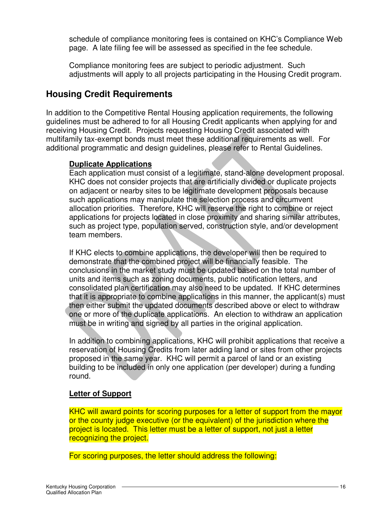schedule of compliance monitoring fees is contained on KHC's Compliance Web page. A late filing fee will be assessed as specified in the fee schedule.

Compliance monitoring fees are subject to periodic adjustment. Such adjustments will apply to all projects participating in the Housing Credit program.

# **Housing Credit Requirements**

In addition to the Competitive Rental Housing application requirements, the following guidelines must be adhered to for all Housing Credit applicants when applying for and receiving Housing Credit. Projects requesting Housing Credit associated with multifamily tax-exempt bonds must meet these additional requirements as well. For additional programmatic and design guidelines, please refer to Rental Guidelines.

#### **Duplicate Applications**

Each application must consist of a legitimate, stand-alone development proposal. KHC does not consider projects that are artificially divided or duplicate projects on adjacent or nearby sites to be legitimate development proposals because such applications may manipulate the selection process and circumvent allocation priorities. Therefore, KHC will reserve the right to combine or reject applications for projects located in close proximity and sharing similar attributes, such as project type, population served, construction style, and/or development team members.

If KHC elects to combine applications, the developer will then be required to demonstrate that the combined project will be financially feasible. The conclusions in the market study must be updated based on the total number of units and items such as zoning documents, public notification letters, and consolidated plan certification may also need to be updated. If KHC determines that it is appropriate to combine applications in this manner, the applicant(s) must then either submit the updated documents described above or elect to withdraw one or more of the duplicate applications. An election to withdraw an application must be in writing and signed by all parties in the original application.

In addition to combining applications, KHC will prohibit applications that receive a reservation of Housing Credits from later adding land or sites from other projects proposed in the same year. KHC will permit a parcel of land or an existing building to be included in only one application (per developer) during a funding round.

#### **Letter of Support**

KHC will award points for scoring purposes for a letter of support from the mayor or the county judge executive (or the equivalent) of the jurisdiction where the project is located. This letter must be a letter of support, not just a letter recognizing the project.

For scoring purposes, the letter should address the following: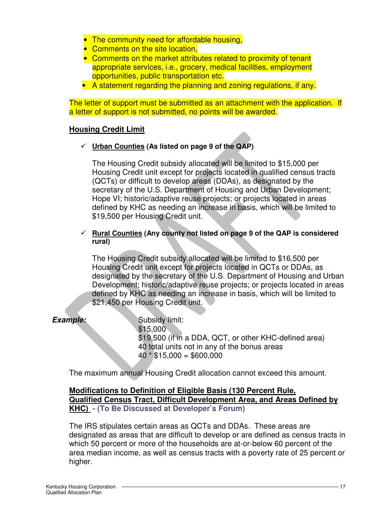- The community need for affordable housing,
- Comments on the site location,
- Comments on the market attributes related to proximity of tenant appropriate services, i.e., grocery, medical facilities, employment opportunities, public transportation etc.
- A statement regarding the planning and zoning regulations, if any.

The letter of support must be submitted as an attachment with the application. If a letter of support is not submitted, no points will be awarded.

#### **Housing Credit Limit**

**Urban Counties (As listed on page 9 of the QAP)** 

The Housing Credit subsidy allocated will be limited to \$15,000 per Housing Credit unit except for projects located in qualified census tracts (QCTs) or difficult to develop areas (DDAs), as designated by the secretary of the U.S. Department of Housing and Urban Development; Hope VI; historic/adaptive reuse projects; or projects located in areas defined by KHC as needing an increase in basis, which will be limited to \$19,500 per Housing Credit unit.

#### **Rural Counties (Any county not listed on page 9 of the QAP is considered rural)**

The Housing Credit subsidy allocated will be limited to \$16,500 per Housing Credit unit except for projects located in QCTs or DDAs, as designated by the secretary of the U.S. Department of Housing and Urban Development; historic/adaptive reuse projects; or projects located in areas defined by KHC as needing an increase in basis, which will be limited to \$21,450 per Housing Credit unit.

**Example:** Subsidy limit: \$15,000 \$19,500 (if in a DDA, QCT, or other KHC-defined area) 40 total units not in any of the bonus areas  $40 * $15,000 = $600,000$ 

The maximum annual Housing Credit allocation cannot exceed this amount.

#### **Modifications to Definition of Eligible Basis (130 Percent Rule, Qualified Census Tract, Difficult Development Area, and Areas Defined by KHC) - (To Be Discussed at Developer's Forum)**

The IRS stipulates certain areas as QCTs and DDAs. These areas are designated as areas that are difficult to develop or are defined as census tracts in which 50 percent or more of the households are at-or-below 60 percent of the area median income, as well as census tracts with a poverty rate of 25 percent or higher.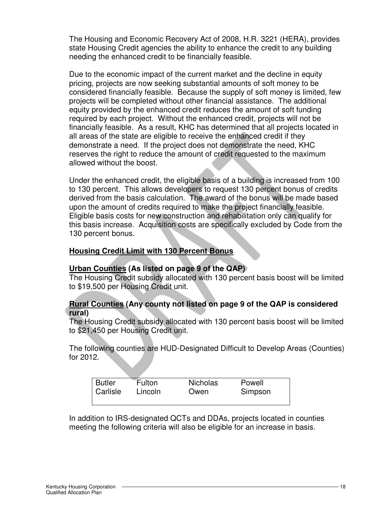The Housing and Economic Recovery Act of 2008, H.R. 3221 (HERA), provides state Housing Credit agencies the ability to enhance the credit to any building needing the enhanced credit to be financially feasible.

Due to the economic impact of the current market and the decline in equity pricing, projects are now seeking substantial amounts of soft money to be considered financially feasible. Because the supply of soft money is limited, few projects will be completed without other financial assistance. The additional equity provided by the enhanced credit reduces the amount of soft funding required by each project. Without the enhanced credit, projects will not be financially feasible. As a result, KHC has determined that all projects located in all areas of the state are eligible to receive the enhanced credit if they demonstrate a need. If the project does not demonstrate the need, KHC reserves the right to reduce the amount of credit requested to the maximum allowed without the boost.

Under the enhanced credit, the eligible basis of a building is increased from 100 to 130 percent. This allows developers to request 130 percent bonus of credits derived from the basis calculation. The award of the bonus will be made based upon the amount of credits required to make the project financially feasible. Eligible basis costs for new construction and rehabilitation only can qualify for this basis increase. Acquisition costs are specifically excluded by Code from the 130 percent bonus.

#### **Housing Credit Limit with 130 Percent Bonus**

#### **Urban Counties (As listed on page 9 of the QAP)**

The Housing Credit subsidy allocated with 130 percent basis boost will be limited to \$19,500 per Housing Credit unit.

#### **Rural Counties (Any county not listed on page 9 of the QAP is considered rural)**

The Housing Credit subsidy allocated with 130 percent basis boost will be limited to \$21,450 per Housing Credit unit.

The following counties are HUD-Designated Difficult to Develop Areas (Counties) for 2012.

| <b>Butler</b> | Fulton  | <b>Nicholas</b> | Powell  |  |
|---------------|---------|-----------------|---------|--|
| Carlisle      | Lincoln | Owen            | Simpson |  |
|               |         |                 |         |  |

In addition to IRS-designated QCTs and DDAs, projects located in counties meeting the following criteria will also be eligible for an increase in basis.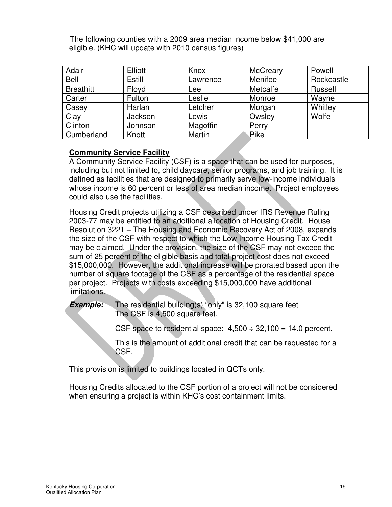The following counties with a 2009 area median income below \$41,000 are eligible. (KHC will update with 2010 census figures)

| Adair            | Elliott | Knox     | <b>McCreary</b> | Powell     |
|------------------|---------|----------|-----------------|------------|
| Bell             | Estill  | Lawrence | Menifee         | Rockcastle |
| <b>Breathitt</b> | Floyd   | Lee      | Metcalfe        | Russell    |
| Carter           | Fulton  | Leslie   | Monroe          | Wayne      |
| Casey            | Harlan  | Letcher  | Morgan          | Whitley    |
| Clay             | Jackson | Lewis    | Owsley          | Wolfe      |
| Clinton          | Johnson | Magoffin | Perry           |            |
| Cumberland       | Knott   | Martin   | Pike            |            |

#### **Community Service Facility**

A Community Service Facility (CSF) is a space that can be used for purposes, including but not limited to, child daycare, senior programs, and job training. It is defined as facilities that are designed to primarily serve low-income individuals whose income is 60 percent or less of area median income. Project employees could also use the facilities.

Housing Credit projects utilizing a CSF described under IRS Revenue Ruling 2003-77 may be entitled to an additional allocation of Housing Credit. House Resolution 3221 – The Housing and Economic Recovery Act of 2008, expands the size of the CSF with respect to which the Low Income Housing Tax Credit may be claimed. Under the provision, the size of the CSF may not exceed the sum of 25 percent of the eligible basis and total project cost does not exceed \$15,000,000. However, the additional increase will be prorated based upon the number of square footage of the CSF as a percentage of the residential space per project. Projects with costs exceeding \$15,000,000 have additional limitations.

**Example:** The residential building(s) "only" is 32,100 square feet The CSF is 4,500 square feet.

> CSF space to residential space:  $4.500 \div 32.100 = 14.0$  percent.  $\overline{a}$

This is the amount of additional credit that can be requested for a CSF.

This provision is limited to buildings located in QCTs only.

Housing Credits allocated to the CSF portion of a project will not be considered when ensuring a project is within KHC's cost containment limits.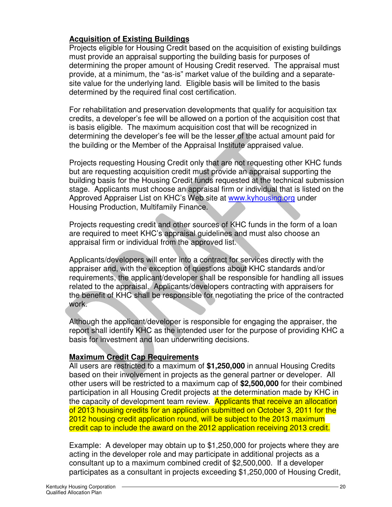#### **Acquisition of Existing Buildings**

Projects eligible for Housing Credit based on the acquisition of existing buildings must provide an appraisal supporting the building basis for purposes of determining the proper amount of Housing Credit reserved. The appraisal must provide, at a minimum, the "as-is" market value of the building and a separatesite value for the underlying land. Eligible basis will be limited to the basis determined by the required final cost certification.

For rehabilitation and preservation developments that qualify for acquisition tax credits, a developer's fee will be allowed on a portion of the acquisition cost that is basis eligible. The maximum acquisition cost that will be recognized in determining the developer's fee will be the lesser of the actual amount paid for the building or the Member of the Appraisal Institute appraised value.

Projects requesting Housing Credit only that are not requesting other KHC funds but are requesting acquisition credit must provide an appraisal supporting the building basis for the Housing Credit funds requested at the technical submission stage. Applicants must choose an appraisal firm or individual that is listed on the Approved Appraiser List on KHC's Web site at www.kyhousing.org under Housing Production, Multifamily Finance.

Projects requesting credit and other sources of KHC funds in the form of a loan are required to meet KHC's appraisal guidelines and must also choose an appraisal firm or individual from the approved list.

Applicants/developers will enter into a contract for services directly with the appraiser and, with the exception of questions about KHC standards and/or requirements, the applicant/developer shall be responsible for handling all issues related to the appraisal. Applicants/developers contracting with appraisers for the benefit of KHC shall be responsible for negotiating the price of the contracted work.

Although the applicant/developer is responsible for engaging the appraiser, the report shall identify KHC as the intended user for the purpose of providing KHC a basis for investment and loan underwriting decisions.

#### **Maximum Credit Cap Requirements**

All users are restricted to a maximum of **\$1,250,000** in annual Housing Credits based on their involvement in projects as the general partner or developer. All other users will be restricted to a maximum cap of **\$2,500,000** for their combined participation in all Housing Credit projects at the determination made by KHC in the capacity of development team review. Applicants that receive an allocation of 2013 housing credits for an application submitted on October 3, 2011 for the 2012 housing credit application round, will be subject to the 2013 maximum credit cap to include the award on the 2012 application receiving 2013 credit.

Example: A developer may obtain up to \$1,250,000 for projects where they are acting in the developer role and may participate in additional projects as a consultant up to a maximum combined credit of \$2,500,000. If a developer participates as a consultant in projects exceeding \$1,250,000 of Housing Credit,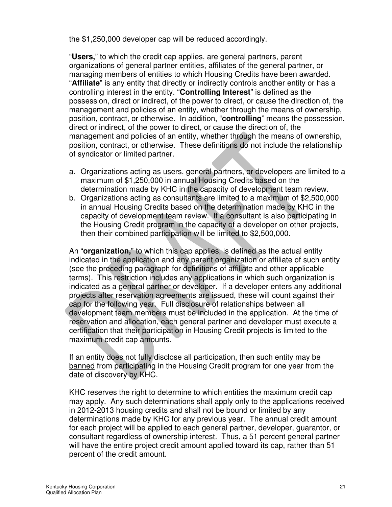the \$1,250,000 developer cap will be reduced accordingly.

"**Users,**" to which the credit cap applies, are general partners, parent organizations of general partner entities, affiliates of the general partner, or managing members of entities to which Housing Credits have been awarded. "**Affiliate**" is any entity that directly or indirectly controls another entity or has a controlling interest in the entity. "**Controlling Interest**" is defined as the possession, direct or indirect, of the power to direct, or cause the direction of, the management and policies of an entity, whether through the means of ownership, position, contract, or otherwise. In addition, "**controlling**" means the possession, direct or indirect, of the power to direct, or cause the direction of, the management and policies of an entity, whether through the means of ownership, position, contract, or otherwise. These definitions do not include the relationship of syndicator or limited partner.

- a. Organizations acting as users, general partners, or developers are limited to a maximum of \$1,250,000 in annual Housing Credits based on the determination made by KHC in the capacity of development team review.
- b. Organizations acting as consultants are limited to a maximum of \$2,500,000 in annual Housing Credits based on the determination made by KHC in the capacity of development team review. If a consultant is also participating in the Housing Credit program in the capacity of a developer on other projects, then their combined participation will be limited to \$2,500,000.

An "**organization,**" to which this cap applies, is defined as the actual entity indicated in the application and any parent organization or affiliate of such entity (see the preceding paragraph for definitions of affiliate and other applicable terms). This restriction includes any applications in which such organization is indicated as a general partner or developer. If a developer enters any additional projects after reservation agreements are issued, these will count against their cap for the following year. Full disclosure of relationships between all development team members must be included in the application. At the time of reservation and allocation, each general partner and developer must execute a certification that their participation in Housing Credit projects is limited to the maximum credit cap amounts.

If an entity does not fully disclose all participation, then such entity may be banned from participating in the Housing Credit program for one year from the date of discovery by KHC.

KHC reserves the right to determine to which entities the maximum credit cap may apply. Any such determinations shall apply only to the applications received in 2012-2013 housing credits and shall not be bound or limited by any determinations made by KHC for any previous year. The annual credit amount for each project will be applied to each general partner, developer, guarantor, or consultant regardless of ownership interest. Thus, a 51 percent general partner will have the entire project credit amount applied toward its cap, rather than 51 percent of the credit amount.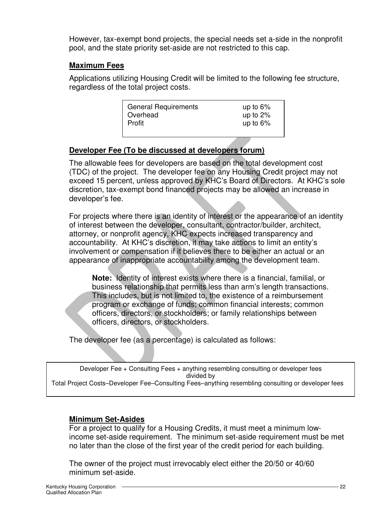However, tax-exempt bond projects, the special needs set a-side in the nonprofit pool, and the state priority set-aside are not restricted to this cap.

#### **Maximum Fees**

Applications utilizing Housing Credit will be limited to the following fee structure, regardless of the total project costs.

| <b>General Requirements</b> | up to $6\%$ |
|-----------------------------|-------------|
| Overhead                    | up to $2\%$ |
| Profit                      | up to $6\%$ |
|                             |             |

### **Developer Fee (To be discussed at developers forum)**

The allowable fees for developers are based on the total development cost (TDC) of the project. The developer fee on any Housing Credit project may not exceed 15 percent, unless approved by KHC's Board of Directors. At KHC's sole discretion, tax-exempt bond financed projects may be allowed an increase in developer's fee.

For projects where there is an identity of interest or the appearance of an identity of interest between the developer, consultant, contractor/builder, architect, attorney, or nonprofit agency, KHC expects increased transparency and accountability. At KHC's discretion, it may take actions to limit an entity's involvement or compensation if it believes there to be either an actual or an appearance of inappropriate accountability among the development team.

**Note:** Identity of interest exists where there is a financial, familial, or business relationship that permits less than arm's length transactions. This includes, but is not limited to, the existence of a reimbursement program or exchange of funds; common financial interests; common officers, directors, or stockholders; or family relationships between officers, directors, or stockholders.

The developer fee (as a percentage) is calculated as follows:

Developer Fee + Consulting Fees + anything resembling consulting or developer fees divided by

#### Total Project Costs–Developer Fee–Consulting Fees–anything resembling consulting or developer fees

#### **Minimum Set-Asides**

For a project to qualify for a Housing Credits, it must meet a minimum lowincome set-aside requirement. The minimum set-aside requirement must be met no later than the close of the first year of the credit period for each building.

The owner of the project must irrevocably elect either the 20/50 or 40/60 minimum set-aside.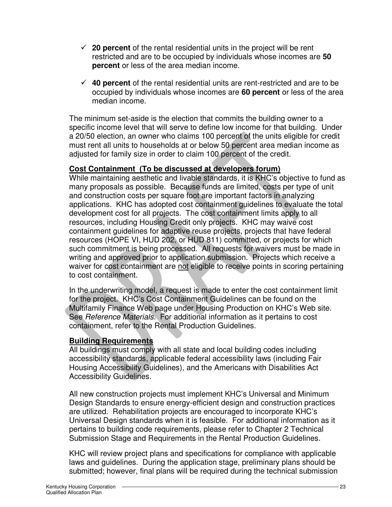- $\checkmark$  20 percent of the rental residential units in the project will be rent restricted and are to be occupied by individuals whose incomes are **50 percent** or less of the area median income.
- **40 percent** of the rental residential units are rent-restricted and are to be occupied by individuals whose incomes are **60 percent** or less of the area median income.

The minimum set-aside is the election that commits the building owner to a specific income level that will serve to define low income for that building. Under a 20/50 election, an owner who claims 100 percent of the units eligible for credit must rent all units to households at or below 50 percent area median income as adjusted for family size in order to claim 100 percent of the credit.

#### **Cost Containment (To be discussed at developers forum)**

While maintaining aesthetic and livable standards, it is KHC's objective to fund as many proposals as possible. Because funds are limited, costs per type of unit and construction costs per square foot are important factors in analyzing applications. KHC has adopted cost containment guidelines to evaluate the total development cost for all projects. The cost containment limits apply to all resources, including Housing Credit only projects. KHC may waive cost containment guidelines for adaptive reuse projects, projects that have federal resources (HOPE VI, HUD 202, or HUD 811) committed, or projects for which such commitment is being processed. All requests for waivers must be made in writing and approved prior to application submission. Projects which receive a waiver for cost containment are not eligible to receive points in scoring pertaining to cost containment.

In the underwriting model, a request is made to enter the cost containment limit for the project. KHC's Cost Containment Guidelines can be found on the Multifamily Finance Web page under Housing Production on KHC's Web site. See Reference Materials. For additional information as it pertains to cost containment, refer to the Rental Production Guidelines.

#### **Building Requirements**

All buildings must comply with all state and local building codes including accessibility standards, applicable federal accessibility laws (including Fair Housing Accessibility Guidelines), and the Americans with Disabilities Act Accessibility Guidelines.

All new construction projects must implement KHC's Universal and Minimum Design Standards to ensure energy-efficient design and construction practices are utilized. Rehabilitation projects are encouraged to incorporate KHC's Universal Design standards when it is feasible. For additional information as it pertains to building code requirements, please refer to Chapter 2 Technical Submission Stage and Requirements in the Rental Production Guidelines.

KHC will review project plans and specifications for compliance with applicable laws and guidelines. During the application stage, preliminary plans should be submitted; however, final plans will be required during the technical submission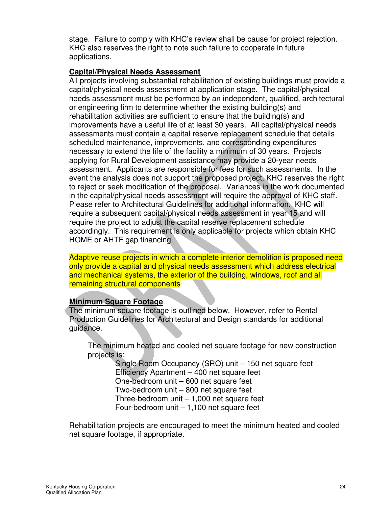stage. Failure to comply with KHC's review shall be cause for project rejection. KHC also reserves the right to note such failure to cooperate in future applications.

#### **Capital/Physical Needs Assessment**

All projects involving substantial rehabilitation of existing buildings must provide a capital/physical needs assessment at application stage. The capital/physical needs assessment must be performed by an independent, qualified, architectural or engineering firm to determine whether the existing building(s) and rehabilitation activities are sufficient to ensure that the building(s) and improvements have a useful life of at least 30 years. All capital/physical needs assessments must contain a capital reserve replacement schedule that details scheduled maintenance, improvements, and corresponding expenditures necessary to extend the life of the facility a minimum of 30 years. Projects applying for Rural Development assistance may provide a 20-year needs assessment. Applicants are responsible for fees for such assessments. In the event the analysis does not support the proposed project, KHC reserves the right to reject or seek modification of the proposal. Variances in the work documented in the capital/physical needs assessment will require the approval of KHC staff. Please refer to Architectural Guidelines for additional information. KHC will require a subsequent capital/physical needs assessment in year 15 and will require the project to adjust the capital reserve replacement schedule accordingly. This requirement is only applicable for projects which obtain KHC HOME or AHTF gap financing.

Adaptive reuse projects in which a complete interior demolition is proposed need only provide a capital and physical needs assessment which address electrical and mechanical systems, the exterior of the building, windows, roof and all remaining structural components

#### **Minimum Square Footage**

The minimum square footage is outlined below. However, refer to Rental Production Guidelines for Architectural and Design standards for additional guidance.

The minimum heated and cooled net square footage for new construction projects is:

Single Room Occupancy (SRO) unit – 150 net square feet Efficiency Apartment – 400 net square feet One-bedroom unit – 600 net square feet Two-bedroom unit – 800 net square feet Three-bedroom unit – 1,000 net square feet Four-bedroom unit – 1,100 net square feet

Rehabilitation projects are encouraged to meet the minimum heated and cooled net square footage, if appropriate.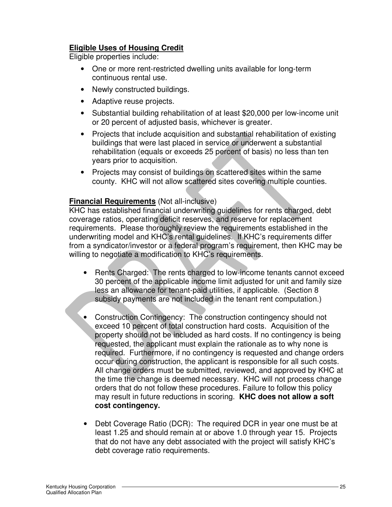#### **Eligible Uses of Housing Credit**

Eligible properties include:

- One or more rent-restricted dwelling units available for long-term continuous rental use.
- Newly constructed buildings.
- Adaptive reuse projects.
- Substantial building rehabilitation of at least \$20,000 per low-income unit or 20 percent of adjusted basis, whichever is greater.
- Projects that include acquisition and substantial rehabilitation of existing buildings that were last placed in service or underwent a substantial rehabilitation (equals or exceeds 25 percent of basis) no less than ten years prior to acquisition.
- Projects may consist of buildings on scattered sites within the same county. KHC will not allow scattered sites covering multiple counties.

#### **Financial Requirements** (Not all-inclusive)

KHC has established financial underwriting guidelines for rents charged, debt coverage ratios, operating deficit reserves, and reserve for replacement requirements. Please thoroughly review the requirements established in the underwriting model and KHC's rental guidelines. If KHC's requirements differ from a syndicator/investor or a federal program's requirement, then KHC may be willing to negotiate a modification to KHC's requirements.

- Rents Charged: The rents charged to low-income tenants cannot exceed 30 percent of the applicable income limit adjusted for unit and family size less an allowance for tenant-paid utilities, if applicable. (Section 8 subsidy payments are not included in the tenant rent computation.)
- Construction Contingency: The construction contingency should not exceed 10 percent of total construction hard costs. Acquisition of the property should not be included as hard costs. If no contingency is being requested, the applicant must explain the rationale as to why none is required. Furthermore, if no contingency is requested and change orders occur during construction, the applicant is responsible for all such costs. All change orders must be submitted, reviewed, and approved by KHC at the time the change is deemed necessary. KHC will not process change orders that do not follow these procedures. Failure to follow this policy may result in future reductions in scoring. **KHC does not allow a soft cost contingency.**
- Debt Coverage Ratio (DCR): The required DCR in year one must be at least 1.25 and should remain at or above 1.0 through year 15. Projects that do not have any debt associated with the project will satisfy KHC's debt coverage ratio requirements.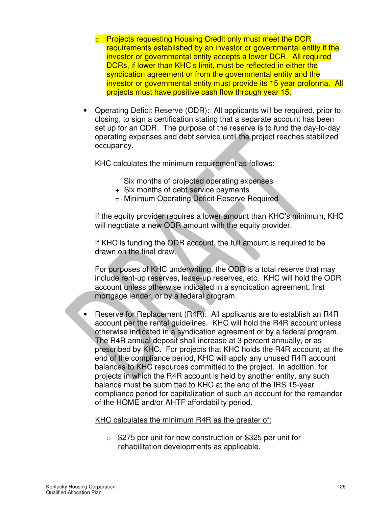- **Projects requesting Housing Credit only must meet the DCR** requirements established by an investor or governmental entity if the investor or governmental entity accepts a lower DCR. All required DCRs, if lower than KHC's limit, must be reflected in either the syndication agreement or from the governmental entity and the investor or governmental entity must provide its 15 year proforma. All projects must have positive cash flow through year 15.
- Operating Deficit Reserve (ODR): All applicants will be required, prior to closing, to sign a certification stating that a separate account has been set up for an ODR. The purpose of the reserve is to fund the day-to-day operating expenses and debt service until the project reaches stabilized occupancy.

KHC calculates the minimum requirement as follows:

Six months of projected operating expenses

- + Six months of debt service payments
- = Minimum Operating Deficit Reserve Required

If the equity provider requires a lower amount than KHC's minimum, KHC will negotiate a new ODR amount with the equity provider.

If KHC is funding the ODR account, the full amount is required to be drawn on the final draw.

For purposes of KHC underwriting, the ODR is a total reserve that may include rent-up reserves, lease-up reserves, etc. KHC will hold the ODR account unless otherwise indicated in a syndication agreement, first mortgage lender, or by a federal program.

• Reserve for Replacement (R4R): All applicants are to establish an R4R account per the rental guidelines. KHC will hold the R4R account unless otherwise indicated in a syndication agreement or by a federal program. The R4R annual deposit shall increase at 3 percent annually, or as prescribed by KHC. For projects that KHC holds the R4R account, at the end of the compliance period, KHC will apply any unused R4R account balances to KHC resources committed to the project. In addition, for projects in which the R4R account is held by another entity, any such balance must be submitted to KHC at the end of the IRS 15-year compliance period for capitalization of such an account for the remainder of the HOME and/or AHTF affordability period.

KHC calculates the minimum R4R as the greater of:

o \$275 per unit for new construction or \$325 per unit for rehabilitation developments as applicable.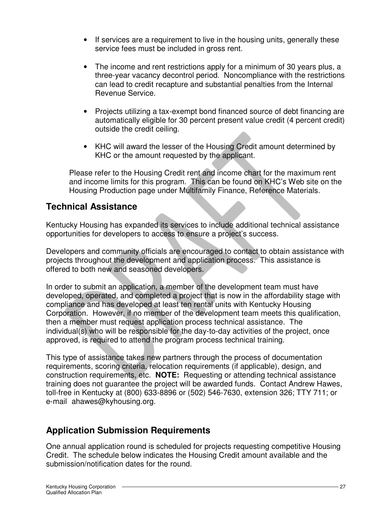- If services are a requirement to live in the housing units, generally these service fees must be included in gross rent.
- The income and rent restrictions apply for a minimum of 30 years plus, a three-year vacancy decontrol period. Noncompliance with the restrictions can lead to credit recapture and substantial penalties from the Internal Revenue Service.
- Projects utilizing a tax-exempt bond financed source of debt financing are automatically eligible for 30 percent present value credit (4 percent credit) outside the credit ceiling.
- KHC will award the lesser of the Housing Credit amount determined by KHC or the amount requested by the applicant.

Please refer to the Housing Credit rent and income chart for the maximum rent and income limits for this program. This can be found on KHC's Web site on the Housing Production page under Multifamily Finance, Reference Materials.

# **Technical Assistance**

Kentucky Housing has expanded its services to include additional technical assistance opportunities for developers to access to ensure a project's success.

Developers and community officials are encouraged to contact to obtain assistance with projects throughout the development and application process. This assistance is offered to both new and seasoned developers.

In order to submit an application, a member of the development team must have developed, operated, and completed a project that is now in the affordability stage with compliance and has developed at least ten rental units with Kentucky Housing Corporation. However, if no member of the development team meets this qualification, then a member must request application process technical assistance. The individual(s) who will be responsible for the day-to-day activities of the project, once approved, is required to attend the program process technical training.

This type of assistance takes new partners through the process of documentation requirements, scoring criteria, relocation requirements (if applicable), design, and construction requirements, etc. **NOTE:** Requesting or attending technical assistance training does not guarantee the project will be awarded funds. Contact Andrew Hawes, toll-free in Kentucky at (800) 633-8896 or (502) 546-7630, extension 326; TTY 711; or e-mail ahawes@kyhousing.org.

# **Application Submission Requirements**

One annual application round is scheduled for projects requesting competitive Housing Credit. The schedule below indicates the Housing Credit amount available and the submission/notification dates for the round.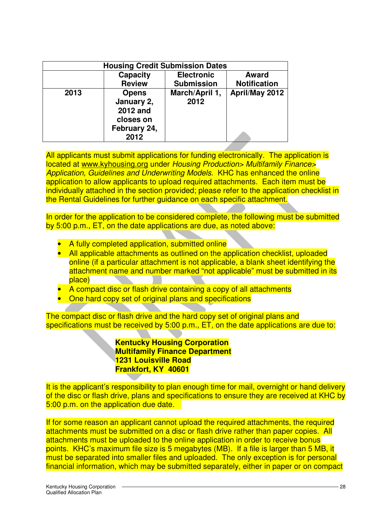| <b>Housing Credit Submission Dates</b> |                                                                             |                        |                     |  |
|----------------------------------------|-----------------------------------------------------------------------------|------------------------|---------------------|--|
|                                        | <b>Capacity</b>                                                             | <b>Electronic</b>      | <b>Award</b>        |  |
|                                        | <b>Review</b>                                                               | <b>Submission</b>      | <b>Notification</b> |  |
| 2013                                   | <b>Opens</b><br>January 2,<br>2012 and<br>closes on<br>February 24,<br>2012 | March/April 1,<br>2012 | April/May 2012      |  |

All applicants must submit applications for funding electronically. The application is located at www.kyhousing.org under Housing Production> Multifamily Finance> Application, Guidelines and Underwriting Models. KHC has enhanced the online application to allow applicants to upload required attachments. Each item must be individually attached in the section provided; please refer to the application checklist in the Rental Guidelines for further guidance on each specific attachment.

In order for the application to be considered complete, the following must be submitted by 5:00 p.m., ET, on the date applications are due, as noted above:

- A fully completed application, submitted online
- All applicable attachments as outlined on the application checklist, uploaded online (if a particular attachment is not applicable, a blank sheet identifying the attachment name and number marked "not applicable" must be submitted in its place)
- A compact disc or flash drive containing a copy of all attachments
- One hard copy set of original plans and specifications

The compact disc or flash drive and the hard copy set of original plans and specifications must be received by 5:00 p.m., ET, on the date applications are due to:

> **Kentucky Housing Corporation Multifamily Finance Department 1231 Louisville Road Frankfort, KY 40601**

It is the applicant's responsibility to plan enough time for mail, overnight or hand delivery of the disc or flash drive, plans and specifications to ensure they are received at KHC by 5:00 p.m. on the application due date.

If for some reason an applicant cannot upload the required attachments, the required attachments must be submitted on a disc or flash drive rather than paper copies. All attachments must be uploaded to the online application in order to receive bonus points. KHC's maximum file size is 5 megabytes (MB). If a file is larger than 5 MB, it must be separated into smaller files and uploaded. The only exception is for personal financial information, which may be submitted separately, either in paper or on compact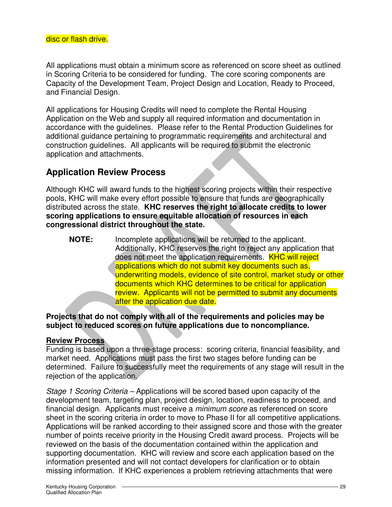All applications must obtain a minimum score as referenced on score sheet as outlined in Scoring Criteria to be considered for funding. The core scoring components are Capacity of the Development Team, Project Design and Location, Ready to Proceed, and Financial Design.

All applications for Housing Credits will need to complete the Rental Housing Application on the Web and supply all required information and documentation in accordance with the guidelines. Please refer to the Rental Production Guidelines for additional guidance pertaining to programmatic requirements and architectural and construction guidelines. All applicants will be required to submit the electronic application and attachments.

# **Application Review Process**

Although KHC will award funds to the highest scoring projects within their respective pools, KHC will make every effort possible to ensure that funds are geographically distributed across the state. **KHC reserves the right to allocate credits to lower scoring applications to ensure equitable allocation of resources in each congressional district throughout the state.** 

**NOTE:** Incomplete applications will be returned to the applicant. Additionally, KHC reserves the right to reject any application that does not meet the application requirements. **KHC will reject** applications which do not submit key documents such as, underwriting models, evidence of site control, market study or other documents which KHC determines to be critical for application review. Applicants will not be permitted to submit any documents after the application due date.

#### **Projects that do not comply with all of the requirements and policies may be subject to reduced scores on future applications due to noncompliance.**

#### **Review Process**

Funding is based upon a three-stage process: scoring criteria, financial feasibility, and market need. Applications must pass the first two stages before funding can be determined. Failure to successfully meet the requirements of any stage will result in the rejection of the application.

Stage 1 Scoring Criteria – Applications will be scored based upon capacity of the development team, targeting plan, project design, location, readiness to proceed, and financial design. Applicants must receive a minimum score as referenced on score sheet in the scoring criteria in order to move to Phase II for all competitive applications. Applications will be ranked according to their assigned score and those with the greater number of points receive priority in the Housing Credit award process. Projects will be reviewed on the basis of the documentation contained within the application and supporting documentation. KHC will review and score each application based on the information presented and will not contact developers for clarification or to obtain missing information. If KHC experiences a problem retrieving attachments that were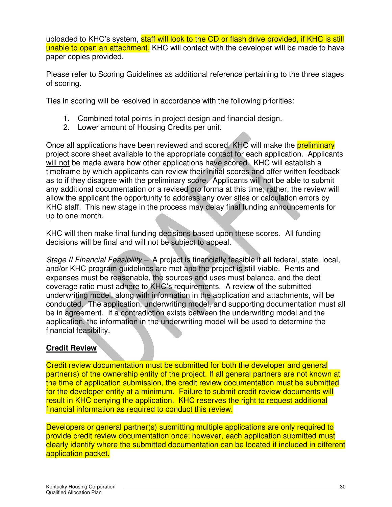uploaded to KHC's system, staff will look to the CD or flash drive provided, if KHC is still unable to open an attachment. KHC will contact with the developer will be made to have paper copies provided.

Please refer to Scoring Guidelines as additional reference pertaining to the three stages of scoring.

Ties in scoring will be resolved in accordance with the following priorities:

- 1. Combined total points in project design and financial design.
- 2. Lower amount of Housing Credits per unit.

Once all applications have been reviewed and scored, KHC will make the **preliminary** project score sheet available to the appropriate contact for each application. Applicants will not be made aware how other applications have scored. KHC will establish a timeframe by which applicants can review their initial scores and offer written feedback as to if they disagree with the preliminary score. Applicants will not be able to submit any additional documentation or a revised pro forma at this time; rather, the review will allow the applicant the opportunity to address any over sites or calculation errors by KHC staff. This new stage in the process may delay final funding announcements for up to one month.

KHC will then make final funding decisions based upon these scores. All funding decisions will be final and will not be subject to appeal.

Stage II Financial Feasibility – A project is financially feasible if **all** federal, state, local, and/or KHC program guidelines are met and the project is still viable. Rents and expenses must be reasonable, the sources and uses must balance, and the debt coverage ratio must adhere to KHC's requirements. A review of the submitted underwriting model, along with information in the application and attachments, will be conducted. The application, underwriting model, and supporting documentation must all be in agreement. If a contradiction exists between the underwriting model and the application, the information in the underwriting model will be used to determine the financial feasibility.

#### **Credit Review**

Credit review documentation must be submitted for both the developer and general partner(s) of the ownership entity of the project. If all general partners are not known at the time of application submission, the credit review documentation must be submitted for the developer entity at a minimum. Failure to submit credit review documents will result in KHC denying the application. KHC reserves the right to request additional financial information as required to conduct this review.

Developers or general partner(s) submitting multiple applications are only required to provide credit review documentation once; however, each application submitted must clearly identify where the submitted documentation can be located if included in different application packet.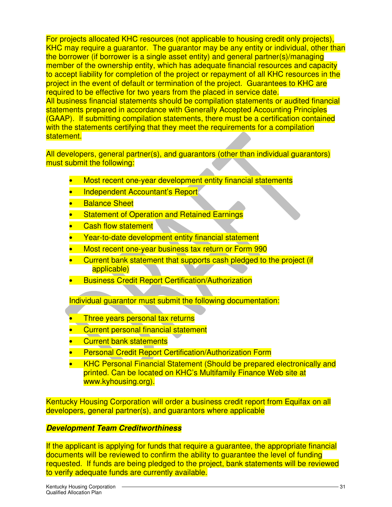For projects allocated KHC resources (not applicable to housing credit only projects), KHC may require a quarantor. The quarantor may be any entity or individual, other than the borrower (if borrower is a single asset entity) and general partner(s)/managing member of the ownership entity, which has adequate financial resources and capacity to accept liability for completion of the project or repayment of all KHC resources in the project in the event of default or termination of the project. Guarantees to KHC are required to be effective for two years from the placed in service date. All business financial statements should be compilation statements or audited financial statements prepared in accordance with Generally Accepted Accounting Principles (GAAP). If submitting compilation statements, there must be a certification contained with the statements certifying that they meet the requirements for a compilation statement.

All developers, general partner(s), and guarantors (other than individual guarantors) must submit the following:

- Most recent one-year development entity financial statements
- Independent Accountant's Report
- **Balance Sheet**
- Statement of Operation and Retained Earnings
- Cash flow statement
- Year-to-date development entity financial statement
- Most recent one-year business tax return or Form 990
- Current bank statement that supports cash pledged to the project (if applicable)
- Business Credit Report Certification/Authorization

Individual guarantor must submit the following documentation:

- Three years personal tax returns
- Current personal financial statement
- Current bank statements
- **Personal Credit Report Certification/Authorization Form**
- KHC Personal Financial Statement (Should be prepared electronically and printed. Can be located on KHC's Multifamily Finance Web site at www.kyhousing.org).

Kentucky Housing Corporation will order a business credit report from Equifax on all developers, general partner(s), and guarantors where applicable

#### **Development Team Creditworthiness**

If the applicant is applying for funds that require a guarantee, the appropriate financial documents will be reviewed to confirm the ability to guarantee the level of funding requested. If funds are being pledged to the project, bank statements will be reviewed to verify adequate funds are currently available.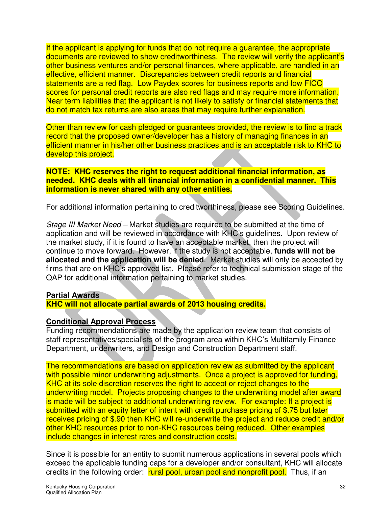If the applicant is applying for funds that do not require a guarantee, the appropriate documents are reviewed to show creditworthiness. The review will verify the applicant's other business ventures and/or personal finances, where applicable, are handled in an effective, efficient manner. Discrepancies between credit reports and financial statements are a red flag. Low Paydex scores for business reports and low FICO scores for personal credit reports are also red flags and may require more information. Near term liabilities that the applicant is not likely to satisfy or financial statements that do not match tax returns are also areas that may require further explanation.

Other than review for cash pledged or guarantees provided, the review is to find a track record that the proposed owner/developer has a history of managing finances in an efficient manner in his/her other business practices and is an acceptable risk to KHC to develop this project.

**NOTE: KHC reserves the right to request additional financial information, as needed. KHC deals with all financial information in a confidential manner. This information is never shared with any other entities.** 

For additional information pertaining to creditworthiness, please see Scoring Guidelines.

Stage III Market Need – Market studies are required to be submitted at the time of application and will be reviewed in accordance with KHC's guidelines. Upon review of the market study, if it is found to have an acceptable market, then the project will continue to move forward. However, if the study is not acceptable, **funds will not be allocated and the application will be denied**. Market studies will only be accepted by firms that are on KHC's approved list. Please refer to technical submission stage of the QAP for additional information pertaining to market studies.

#### **Partial Awards**

**KHC will not allocate partial awards of 2013 housing credits.** 

#### **Conditional Approval Process**

Funding recommendations are made by the application review team that consists of staff representatives/specialists of the program area within KHC's Multifamily Finance Department, underwriters, and Design and Construction Department staff.

The recommendations are based on application review as submitted by the applicant with possible minor underwriting adjustments. Once a project is approved for funding, KHC at its sole discretion reserves the right to accept or reject changes to the underwriting model. Projects proposing changes to the underwriting model after award is made will be subject to additional underwriting review. For example: If a project is submitted with an equity letter of intent with credit purchase pricing of \$.75 but later receives pricing of \$.90 then KHC will re-underwrite the project and reduce credit and/or other KHC resources prior to non-KHC resources being reduced. Other examples include changes in interest rates and construction costs.

Since it is possible for an entity to submit numerous applications in several pools which exceed the applicable funding caps for a developer and/or consultant, KHC will allocate credits in the following order: rural pool, urban pool and nonprofit pool. Thus, if an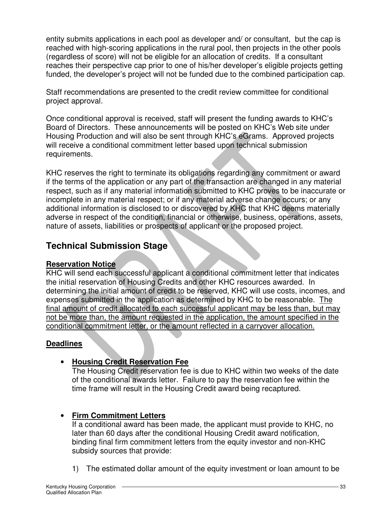entity submits applications in each pool as developer and/ or consultant, but the cap is reached with high-scoring applications in the rural pool, then projects in the other pools (regardless of score) will not be eligible for an allocation of credits. If a consultant reaches their perspective cap prior to one of his/her developer's eligible projects getting funded, the developer's project will not be funded due to the combined participation cap.

Staff recommendations are presented to the credit review committee for conditional project approval.

Once conditional approval is received, staff will present the funding awards to KHC's Board of Directors. These announcements will be posted on KHC's Web site under Housing Production and will also be sent through KHC's eGrams. Approved projects will receive a conditional commitment letter based upon technical submission requirements.

KHC reserves the right to terminate its obligations regarding any commitment or award if the terms of the application or any part of the transaction are changed in any material respect, such as if any material information submitted to KHC proves to be inaccurate or incomplete in any material respect; or if any material adverse change occurs; or any additional information is disclosed to or discovered by KHC that KHC deems materially adverse in respect of the condition, financial or otherwise, business, operations, assets, nature of assets, liabilities or prospects of applicant or the proposed project.

# **Technical Submission Stage**

#### **Reservation Notice**

KHC will send each successful applicant a conditional commitment letter that indicates the initial reservation of Housing Credits and other KHC resources awarded. In determining the initial amount of credit to be reserved, KHC will use costs, incomes, and expenses submitted in the application as determined by KHC to be reasonable. The final amount of credit allocated to each successful applicant may be less than, but may not be more than, the amount requested in the application, the amount specified in the conditional commitment letter, or the amount reflected in a carryover allocation.

#### **Deadlines**

#### • **Housing Credit Reservation Fee**

The Housing Credit reservation fee is due to KHC within two weeks of the date of the conditional awards letter. Failure to pay the reservation fee within the time frame will result in the Housing Credit award being recaptured.

# • **Firm Commitment Letters**

If a conditional award has been made, the applicant must provide to KHC, no later than 60 days after the conditional Housing Credit award notification, binding final firm commitment letters from the equity investor and non-KHC subsidy sources that provide:

1) The estimated dollar amount of the equity investment or loan amount to be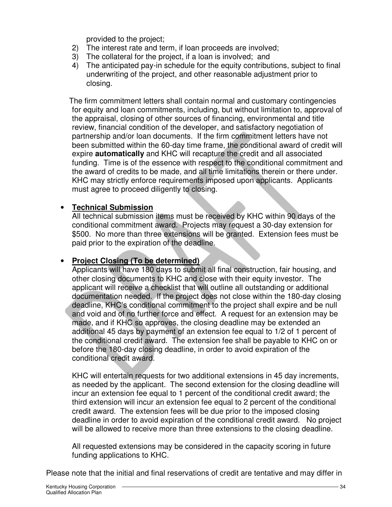provided to the project;

- 2) The interest rate and term, if loan proceeds are involved;
- 3) The collateral for the project, if a loan is involved; and
- 4) The anticipated pay-in schedule for the equity contributions, subject to final underwriting of the project, and other reasonable adjustment prior to closing.

The firm commitment letters shall contain normal and customary contingencies for equity and loan commitments, including, but without limitation to, approval of the appraisal, closing of other sources of financing, environmental and title review, financial condition of the developer, and satisfactory negotiation of partnership and/or loan documents. If the firm commitment letters have not been submitted within the 60-day time frame, the conditional award of credit will expire **automatically** and KHC will recapture the credit and all associated funding. Time is of the essence with respect to the conditional commitment and the award of credits to be made, and all time limitations therein or there under. KHC may strictly enforce requirements imposed upon applicants. Applicants must agree to proceed diligently to closing.

#### • **Technical Submission**

All technical submission items must be received by KHC within 90 days of the conditional commitment award. Projects may request a 30-day extension for \$500. No more than three extensions will be granted. Extension fees must be paid prior to the expiration of the deadline.

#### • **Project Closing (To be determined)**

Applicants will have 180 days to submit all final construction, fair housing, and other closing documents to KHC and close with their equity investor. The applicant will receive a checklist that will outline all outstanding or additional documentation needed. If the project does not close within the 180-day closing deadline, KHC's conditional commitment to the project shall expire and be null and void and of no further force and effect. A request for an extension may be made, and if KHC so approves, the closing deadline may be extended an additional 45 days by payment of an extension fee equal to 1/2 of 1 percent of the conditional credit award. The extension fee shall be payable to KHC on or before the 180-day closing deadline, in order to avoid expiration of the conditional credit award.

KHC will entertain requests for two additional extensions in 45 day increments, as needed by the applicant. The second extension for the closing deadline will incur an extension fee equal to 1 percent of the conditional credit award; the third extension will incur an extension fee equal to 2 percent of the conditional credit award. The extension fees will be due prior to the imposed closing deadline in order to avoid expiration of the conditional credit award. No project will be allowed to receive more than three extensions to the closing deadline.

All requested extensions may be considered in the capacity scoring in future funding applications to KHC.

Please note that the initial and final reservations of credit are tentative and may differ in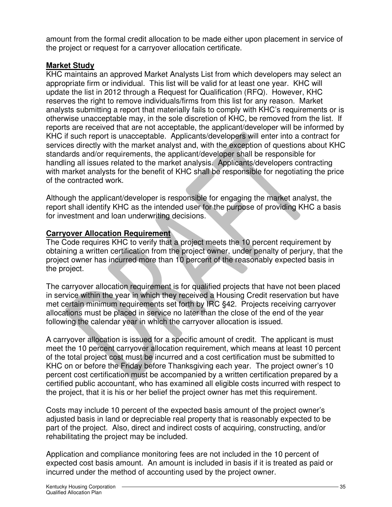amount from the formal credit allocation to be made either upon placement in service of the project or request for a carryover allocation certificate.

#### **Market Study**

KHC maintains an approved Market Analysts List from which developers may select an appropriate firm or individual. This list will be valid for at least one year. KHC will update the list in 2012 through a Request for Qualification (RFQ). However, KHC reserves the right to remove individuals/firms from this list for any reason. Market analysts submitting a report that materially fails to comply with KHC's requirements or is otherwise unacceptable may, in the sole discretion of KHC, be removed from the list. If reports are received that are not acceptable, the applicant/developer will be informed by KHC if such report is unacceptable. Applicants/developers will enter into a contract for services directly with the market analyst and, with the exception of questions about KHC standards and/or requirements, the applicant/developer shall be responsible for handling all issues related to the market analysis. Applicants/developers contracting with market analysts for the benefit of KHC shall be responsible for negotiating the price of the contracted work.

Although the applicant/developer is responsible for engaging the market analyst, the report shall identify KHC as the intended user for the purpose of providing KHC a basis for investment and loan underwriting decisions.

#### **Carryover Allocation Requirement**

The Code requires KHC to verify that a project meets the 10 percent requirement by obtaining a written certification from the project owner, under penalty of perjury, that the project owner has incurred more than 10 percent of the reasonably expected basis in the project.

The carryover allocation requirement is for qualified projects that have not been placed in service within the year in which they received a Housing Credit reservation but have met certain minimum requirements set forth by IRC §42. Projects receiving carryover allocations must be placed in service no later than the close of the end of the year following the calendar year in which the carryover allocation is issued.

A carryover allocation is issued for a specific amount of credit. The applicant is must meet the 10 percent carryover allocation requirement, which means at least 10 percent of the total project cost must be incurred and a cost certification must be submitted to KHC on or before the Friday before Thanksgiving each year. The project owner's 10 percent cost certification must be accompanied by a written certification prepared by a certified public accountant, who has examined all eligible costs incurred with respect to the project, that it is his or her belief the project owner has met this requirement.

Costs may include 10 percent of the expected basis amount of the project owner's adjusted basis in land or depreciable real property that is reasonably expected to be part of the project. Also, direct and indirect costs of acquiring, constructing, and/or rehabilitating the project may be included.

Application and compliance monitoring fees are not included in the 10 percent of expected cost basis amount. An amount is included in basis if it is treated as paid or incurred under the method of accounting used by the project owner.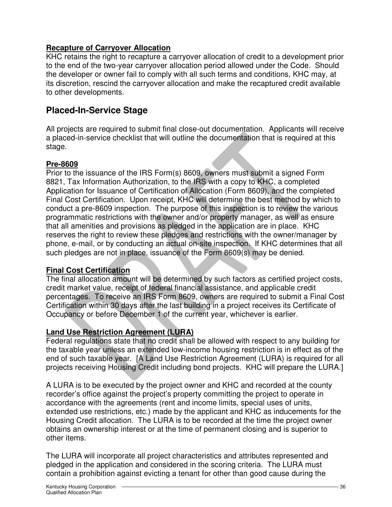#### **Recapture of Carryover Allocation**

KHC retains the right to recapture a carryover allocation of credit to a development prior to the end of the two-year carryover allocation period allowed under the Code. Should the developer or owner fail to comply with all such terms and conditions, KHC may, at its discretion, rescind the carryover allocation and make the recaptured credit available to other developments.

# **Placed-In-Service Stage**

All projects are required to submit final close-out documentation. Applicants will receive a placed-in-service checklist that will outline the documentation that is required at this stage.

#### **Pre-8609**

Prior to the issuance of the IRS Form(s) 8609, owners must submit a signed Form 8821, Tax Information Authorization, to the IRS with a copy to KHC, a completed Application for Issuance of Certification of Allocation (Form 8609), and the completed Final Cost Certification. Upon receipt, KHC will determine the best method by which to conduct a pre-8609 inspection. The purpose of this inspection is to review the various programmatic restrictions with the owner and/or property manager, as well as ensure that all amenities and provisions as pledged in the application are in place. KHC reserves the right to review these pledges and restrictions with the owner/manager by phone, e-mail, or by conducting an actual on-site inspection. If KHC determines that all such pledges are not in place, issuance of the Form 8609(s) may be denied.

#### **Final Cost Certification**

The final allocation amount will be determined by such factors as certified project costs, credit market value, receipt of federal financial assistance, and applicable credit percentages. To receive an IRS Form 8609, owners are required to submit a Final Cost Certification within 30 days after the last building in a project receives its Certificate of Occupancy or before December 1 of the current year, whichever is earlier.

#### **Land Use Restriction Agreement (LURA)**

Federal regulations state that no credit shall be allowed with respect to any building for the taxable year unless an extended low-income housing restriction is in effect as of the end of such taxable year. [A Land Use Restriction Agreement (LURA) is required for all projects receiving Housing Credit including bond projects. KHC will prepare the LURA.]

A LURA is to be executed by the project owner and KHC and recorded at the county recorder's office against the project's property committing the project to operate in accordance with the agreements (rent and income limits, special uses of units, extended use restrictions, etc.) made by the applicant and KHC as inducements for the Housing Credit allocation. The LURA is to be recorded at the time the project owner obtains an ownership interest or at the time of permanent closing and is superior to other items.

The LURA will incorporate all project characteristics and attributes represented and pledged in the application and considered in the scoring criteria. The LURA must contain a prohibition against evicting a tenant for other than good cause during the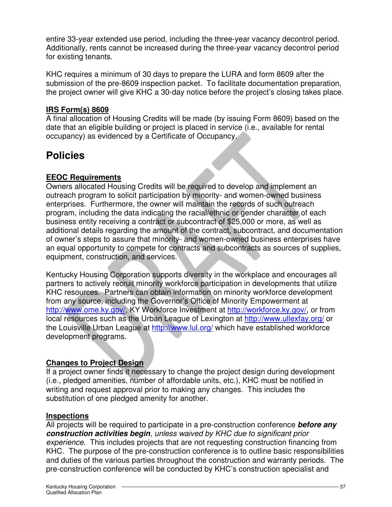entire 33-year extended use period, including the three-year vacancy decontrol period. Additionally, rents cannot be increased during the three-year vacancy decontrol period for existing tenants.

KHC requires a minimum of 30 days to prepare the LURA and form 8609 after the submission of the pre-8609 inspection packet. To facilitate documentation preparation, the project owner will give KHC a 30-day notice before the project's closing takes place.

#### **IRS Form(s) 8609**

A final allocation of Housing Credits will be made (by issuing Form 8609) based on the date that an eligible building or project is placed in service (i.e., available for rental occupancy) as evidenced by a Certificate of Occupancy.

# **Policies**

#### **EEOC Requirements**

Owners allocated Housing Credits will be required to develop and implement an outreach program to solicit participation by minority- and women-owned business enterprises. Furthermore, the owner will maintain the records of such outreach program, including the data indicating the racial/ethnic or gender character of each business entity receiving a contract or subcontract of \$25,000 or more, as well as additional details regarding the amount of the contract, subcontract, and documentation of owner's steps to assure that minority- and women-owned business enterprises have an equal opportunity to compete for contracts and subcontracts as sources of supplies, equipment, construction, and services.

Kentucky Housing Corporation supports diversity in the workplace and encourages all partners to actively recruit minority workforce participation in developments that utilize KHC resources. Partners can obtain information on minority workforce development from any source, including the Governor's Office of Minority Empowerment at http://www.ome.ky.gov/, KY Workforce Investment at http://workforce.ky.gov/, or from local resources such as the Urban League of Lexington at http://www.ullexfay.org/ or the Louisville Urban League at http://www.lul.org/ which have established workforce development programs.

#### **Changes to Project Design**

If a project owner finds it necessary to change the project design during development (i.e., pledged amenities, number of affordable units, etc.), KHC must be notified in writing and request approval prior to making any changes. This includes the substitution of one pledged amenity for another.

#### **Inspections**

All projects will be required to participate in a pre-construction conference **before any construction activities begin**, unless waived by KHC due to significant prior experience. This includes projects that are not requesting construction financing from KHC. The purpose of the pre-construction conference is to outline basic responsibilities and duties of the various parties throughout the construction and warranty periods. The pre-construction conference will be conducted by KHC's construction specialist and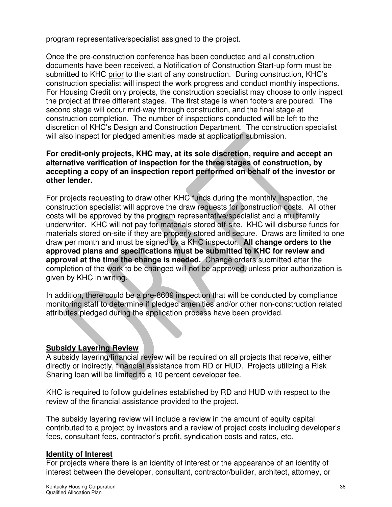program representative/specialist assigned to the project.

Once the pre-construction conference has been conducted and all construction documents have been received, a Notification of Construction Start-up form must be submitted to KHC prior to the start of any construction. During construction, KHC's construction specialist will inspect the work progress and conduct monthly inspections. For Housing Credit only projects, the construction specialist may choose to only inspect the project at three different stages. The first stage is when footers are poured. The second stage will occur mid-way through construction, and the final stage at construction completion. The number of inspections conducted will be left to the discretion of KHC's Design and Construction Department. The construction specialist will also inspect for pledged amenities made at application submission.

#### **For credit-only projects, KHC may, at its sole discretion, require and accept an alternative verification of inspection for the three stages of construction, by accepting a copy of an inspection report performed on behalf of the investor or other lender.**

For projects requesting to draw other KHC funds during the monthly inspection, the construction specialist will approve the draw requests for construction costs. All other costs will be approved by the program representative/specialist and a multifamily underwriter. KHC will not pay for materials stored off-site. KHC will disburse funds for materials stored on-site if they are properly stored and secure. Draws are limited to one draw per month and must be signed by a KHC inspector. **All change orders to the approved plans and specifications must be submitted to KHC for review and approval at the time the change is needed.** Change orders submitted after the completion of the work to be changed will not be approved, unless prior authorization is given by KHC in writing.

In addition, there could be a pre-8609 inspection that will be conducted by compliance monitoring staff to determine if pledged amenities and/or other non-construction related attributes pledged during the application process have been provided.

#### **Subsidy Layering Review**

A subsidy layering/financial review will be required on all projects that receive, either directly or indirectly, financial assistance from RD or HUD. Projects utilizing a Risk Sharing loan will be limited to a 10 percent developer fee.

KHC is required to follow guidelines established by RD and HUD with respect to the review of the financial assistance provided to the project.

The subsidy layering review will include a review in the amount of equity capital contributed to a project by investors and a review of project costs including developer's fees, consultant fees, contractor's profit, syndication costs and rates, etc.

#### **Identity of Interest**

For projects where there is an identity of interest or the appearance of an identity of interest between the developer, consultant, contractor/builder, architect, attorney, or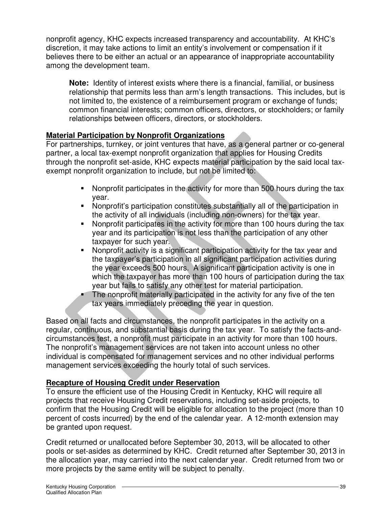nonprofit agency, KHC expects increased transparency and accountability. At KHC's discretion, it may take actions to limit an entity's involvement or compensation if it believes there to be either an actual or an appearance of inappropriate accountability among the development team.

**Note:** Identity of interest exists where there is a financial, familial, or business relationship that permits less than arm's length transactions. This includes, but is not limited to, the existence of a reimbursement program or exchange of funds; common financial interests; common officers, directors, or stockholders; or family relationships between officers, directors, or stockholders.

#### **Material Participation by Nonprofit Organizations**

For partnerships, turnkey, or joint ventures that have, as a general partner or co-general partner, a local tax-exempt nonprofit organization that applies for Housing Credits through the nonprofit set-aside, KHC expects material participation by the said local taxexempt nonprofit organization to include, but not be limited to:

- Nonprofit participates in the activity for more than 500 hours during the tax year.
- Nonprofit's participation constitutes substantially all of the participation in the activity of all individuals (including non-owners) for the tax year.
- Nonprofit participates in the activity for more than 100 hours during the tax year and its participation is not less than the participation of any other taxpayer for such year.
- Nonprofit activity is a significant participation activity for the tax year and the taxpayer's participation in all significant participation activities during the year exceeds 500 hours. A significant participation activity is one in which the taxpayer has more than 100 hours of participation during the tax year but fails to satisfy any other test for material participation.
- The nonprofit materially participated in the activity for any five of the ten tax years immediately preceding the year in question.

Based on all facts and circumstances, the nonprofit participates in the activity on a regular, continuous, and substantial basis during the tax year. To satisfy the facts-andcircumstances test, a nonprofit must participate in an activity for more than 100 hours. The nonprofit's management services are not taken into account unless no other individual is compensated for management services and no other individual performs management services exceeding the hourly total of such services.

#### **Recapture of Housing Credit under Reservation**

To ensure the efficient use of the Housing Credit in Kentucky, KHC will require all projects that receive Housing Credit reservations, including set-aside projects, to confirm that the Housing Credit will be eligible for allocation to the project (more than 10 percent of costs incurred) by the end of the calendar year. A 12-month extension may be granted upon request.

Credit returned or unallocated before September 30, 2013, will be allocated to other pools or set-asides as determined by KHC. Credit returned after September 30, 2013 in the allocation year, may carried into the next calendar year. Credit returned from two or more projects by the same entity will be subject to penalty.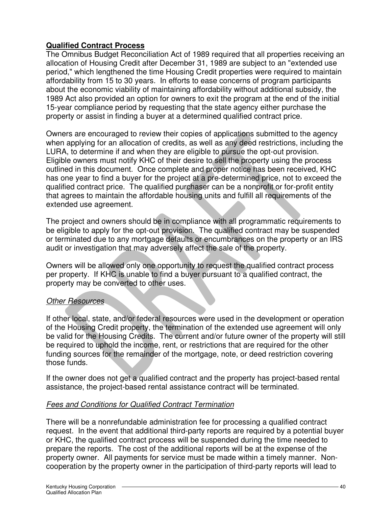#### **Qualified Contract Process**

The Omnibus Budget Reconciliation Act of 1989 required that all properties receiving an allocation of Housing Credit after December 31, 1989 are subject to an "extended use period," which lengthened the time Housing Credit properties were required to maintain affordability from 15 to 30 years. In efforts to ease concerns of program participants about the economic viability of maintaining affordability without additional subsidy, the 1989 Act also provided an option for owners to exit the program at the end of the initial 15-year compliance period by requesting that the state agency either purchase the property or assist in finding a buyer at a determined qualified contract price.

Owners are encouraged to review their copies of applications submitted to the agency when applying for an allocation of credits, as well as any deed restrictions, including the LURA, to determine if and when they are eligible to pursue the opt-out provision. Eligible owners must notify KHC of their desire to sell the property using the process outlined in this document. Once complete and proper notice has been received, KHC has one year to find a buyer for the project at a pre-determined price, not to exceed the qualified contract price. The qualified purchaser can be a nonprofit or for-profit entity that agrees to maintain the affordable housing units and fulfill all requirements of the extended use agreement.

The project and owners should be in compliance with all programmatic requirements to be eligible to apply for the opt-out provision. The qualified contract may be suspended or terminated due to any mortgage defaults or encumbrances on the property or an IRS audit or investigation that may adversely affect the sale of the property.

Owners will be allowed only one opportunity to request the qualified contract process per property. If KHC is unable to find a buyer pursuant to a qualified contract, the property may be converted to other uses.

#### **Other Resources**

If other local, state, and/or federal resources were used in the development or operation of the Housing Credit property, the termination of the extended use agreement will only be valid for the Housing Credits. The current and/or future owner of the property will still be required to uphold the income, rent, or restrictions that are required for the other funding sources for the remainder of the mortgage, note, or deed restriction covering those funds.

If the owner does not get a qualified contract and the property has project-based rental assistance, the project-based rental assistance contract will be terminated.

#### Fees and Conditions for Qualified Contract Termination

There will be a nonrefundable administration fee for processing a qualified contract request. In the event that additional third-party reports are required by a potential buyer or KHC, the qualified contract process will be suspended during the time needed to prepare the reports. The cost of the additional reports will be at the expense of the property owner. All payments for service must be made within a timely manner. Noncooperation by the property owner in the participation of third-party reports will lead to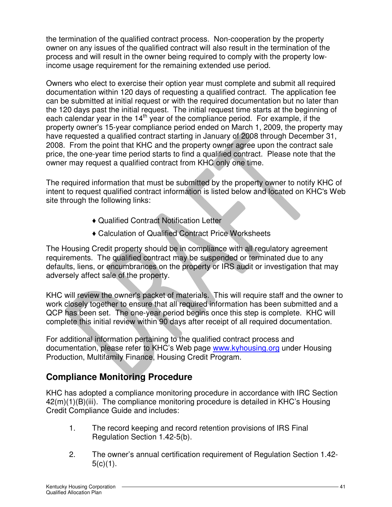the termination of the qualified contract process. Non-cooperation by the property owner on any issues of the qualified contract will also result in the termination of the process and will result in the owner being required to comply with the property lowincome usage requirement for the remaining extended use period.

Owners who elect to exercise their option year must complete and submit all required documentation within 120 days of requesting a qualified contract. The application fee can be submitted at initial request or with the required documentation but no later than the 120 days past the initial request. The initial request time starts at the beginning of each calendar year in the 14<sup>th</sup> year of the compliance period. For example, if the property owner's 15-year compliance period ended on March 1, 2009, the property may have requested a qualified contract starting in January of 2008 through December 31, 2008. From the point that KHC and the property owner agree upon the contract sale price, the one-year time period starts to find a qualified contract. Please note that the owner may request a qualified contract from KHC only one time.

The required information that must be submitted by the property owner to notify KHC of intent to request qualified contract information is listed below and located on KHC's Web site through the following links:

- ♦ Qualified Contract Notification Letter
- ♦ Calculation of Qualified Contract Price Worksheets

The Housing Credit property should be in compliance with all regulatory agreement requirements. The qualified contract may be suspended or terminated due to any defaults, liens, or encumbrances on the property or IRS audit or investigation that may adversely affect sale of the property.

KHC will review the owner's packet of materials. This will require staff and the owner to work closely together to ensure that all required information has been submitted and a QCP has been set. The one-year period begins once this step is complete. KHC will complete this initial review within 90 days after receipt of all required documentation.

For additional information pertaining to the qualified contract process and documentation, please refer to KHC's Web page www.kyhousing.org under Housing Production, Multifamily Finance, Housing Credit Program.

# **Compliance Monitoring Procedure**

KHC has adopted a compliance monitoring procedure in accordance with IRC Section 42(m)(1)(B)(iii). The compliance monitoring procedure is detailed in KHC's Housing Credit Compliance Guide and includes:

- 1. The record keeping and record retention provisions of IRS Final Regulation Section 1.42-5(b).
- 2. The owner's annual certification requirement of Regulation Section 1.42-  $5(c)(1)$ .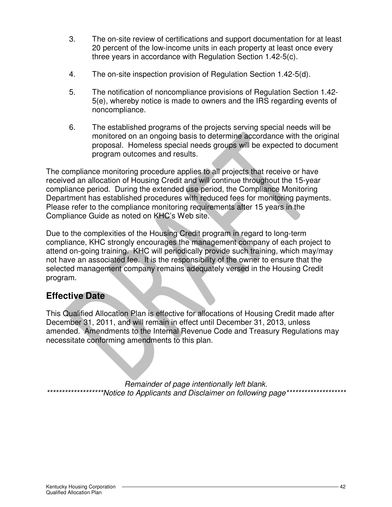- 3. The on-site review of certifications and support documentation for at least 20 percent of the low-income units in each property at least once every three years in accordance with Regulation Section 1.42-5(c).
- 4. The on-site inspection provision of Regulation Section 1.42-5(d).
- 5. The notification of noncompliance provisions of Regulation Section 1.42- 5(e), whereby notice is made to owners and the IRS regarding events of noncompliance.
- 6. The established programs of the projects serving special needs will be monitored on an ongoing basis to determine accordance with the original proposal. Homeless special needs groups will be expected to document program outcomes and results.

The compliance monitoring procedure applies to all projects that receive or have received an allocation of Housing Credit and will continue throughout the 15-year compliance period. During the extended use period, the Compliance Monitoring Department has established procedures with reduced fees for monitoring payments. Please refer to the compliance monitoring requirements after 15 years in the Compliance Guide as noted on KHC's Web site.

Due to the complexities of the Housing Credit program in regard to long-term compliance, KHC strongly encourages the management company of each project to attend on-going training. KHC will periodically provide such training, which may/may not have an associated fee. It is the responsibility of the owner to ensure that the selected management company remains adequately versed in the Housing Credit program.

# **Effective Date**

This Qualified Allocation Plan is effective for allocations of Housing Credit made after December 31, 2011, and will remain in effect until December 31, 2013, unless amended. Amendments to the Internal Revenue Code and Treasury Regulations may necessitate conforming amendments to this plan.

Remainder of page intentionally left blank. \*\*Notice to Applicants and Disclaimer on following page\*\*\*\*\*\*\*\*\*\*\*\*\*\*\*\*